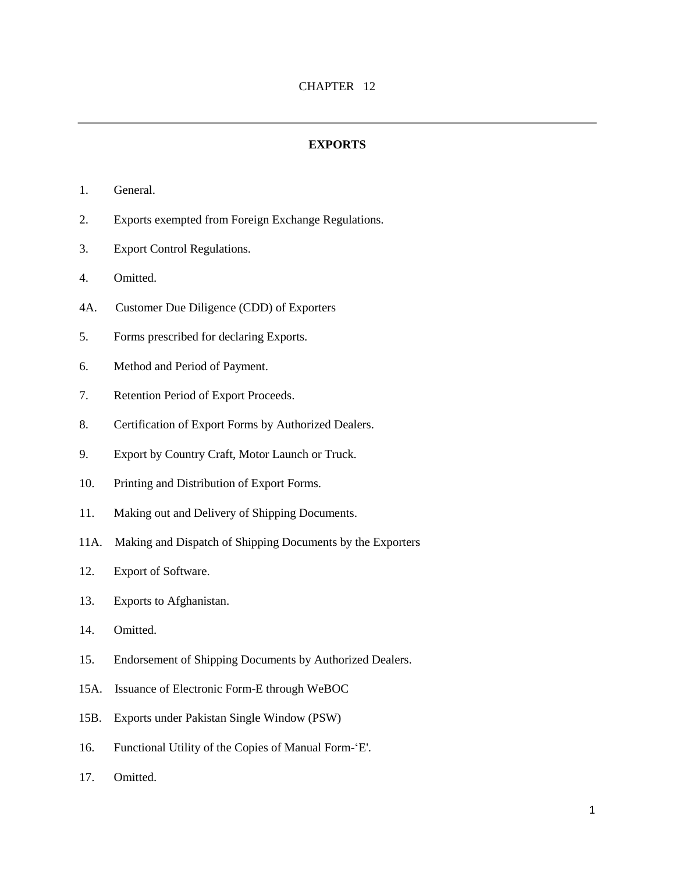#### **EXPORTS**

- 1. General.
- 2. Exports exempted from Foreign Exchange Regulations.
- 3. Export Control Regulations.
- 4. Omitted.
- 4A. Customer Due Diligence (CDD) of Exporters
- 5. Forms prescribed for declaring Exports.
- 6. Method and Period of Payment.
- 7. Retention Period of Export Proceeds.
- 8. Certification of Export Forms by Authorized Dealers.
- 9. Export by Country Craft, Motor Launch or Truck.
- 10. Printing and Distribution of Export Forms.
- 11. Making out and Delivery of Shipping Documents.
- 11A. Making and Dispatch of Shipping Documents by the Exporters
- 12. Export of Software.
- 13. Exports to Afghanistan.
- 14. Omitted.
- 15. Endorsement of Shipping Documents by Authorized Dealers.
- 15A. Issuance of Electronic Form-E through WeBOC
- 15B. Exports under Pakistan Single Window (PSW)
- 16. Functional Utility of the Copies of Manual Form-'E'.
- 17. Omitted.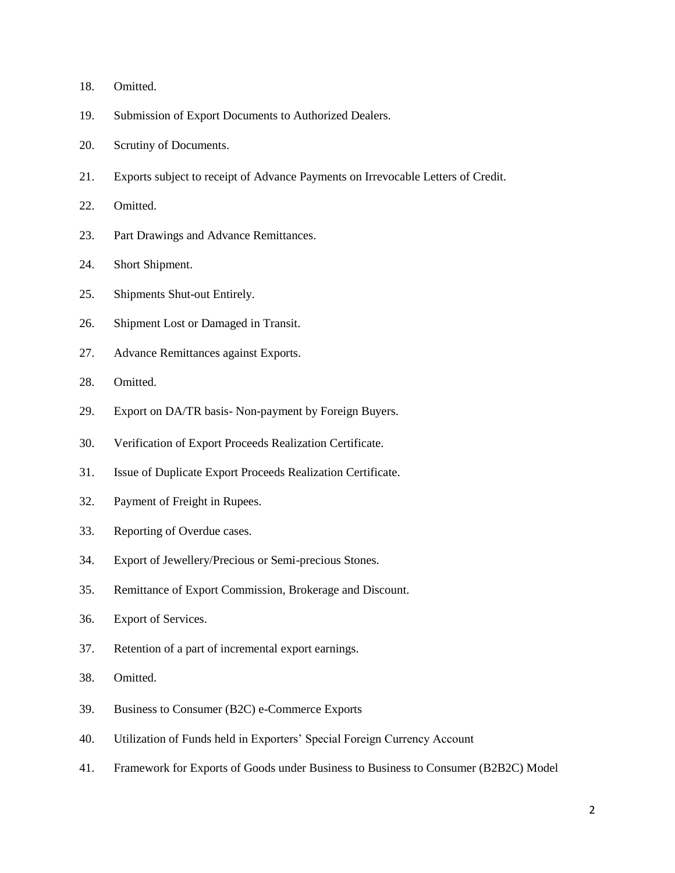- 18. Omitted.
- 19. Submission of Export Documents to Authorized Dealers.
- 20. Scrutiny of Documents.
- 21. Exports subject to receipt of Advance Payments on Irrevocable Letters of Credit.
- 22. Omitted.
- 23. Part Drawings and Advance Remittances.
- 24. Short Shipment.
- 25. Shipments Shut-out Entirely.
- 26. Shipment Lost or Damaged in Transit.
- 27. Advance Remittances against Exports.
- 28. Omitted.
- 29. Export on DA/TR basis- Non-payment by Foreign Buyers.
- 30. Verification of Export Proceeds Realization Certificate.
- 31. Issue of Duplicate Export Proceeds Realization Certificate.
- 32. Payment of Freight in Rupees.
- 33. Reporting of Overdue cases.
- 34. Export of Jewellery/Precious or Semi-precious Stones.
- 35. Remittance of Export Commission, Brokerage and Discount.
- 36. Export of Services.
- 37. Retention of a part of incremental export earnings.
- 38. Omitted.
- 39. Business to Consumer (B2C) e-Commerce Exports
- 40. Utilization of Funds held in Exporters' Special Foreign Currency Account
- 41. Framework for Exports of Goods under Business to Business to Consumer (B2B2C) Model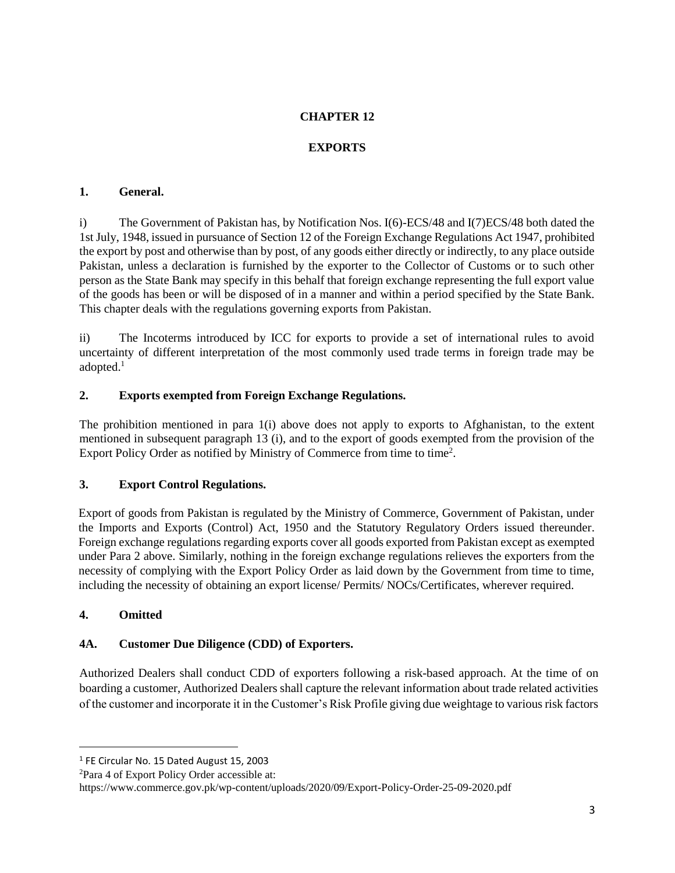## **CHAPTER 12**

## **EXPORTS**

### **1. General.**

i) The Government of Pakistan has, by Notification Nos. I(6)-ECS/48 and I(7)ECS/48 both dated the 1st July, 1948, issued in pursuance of Section 12 of the Foreign Exchange Regulations Act 1947, prohibited the export by post and otherwise than by post, of any goods either directly or indirectly, to any place outside Pakistan, unless a declaration is furnished by the exporter to the Collector of Customs or to such other person as the State Bank may specify in this behalf that foreign exchange representing the full export value of the goods has been or will be disposed of in a manner and within a period specified by the State Bank. This chapter deals with the regulations governing exports from Pakistan.

ii) The Incoterms introduced by ICC for exports to provide a set of international rules to avoid uncertainty of different interpretation of the most commonly used trade terms in foreign trade may be adopted.<sup>1</sup>

## **2. Exports exempted from Foreign Exchange Regulations.**

The prohibition mentioned in para 1(i) above does not apply to exports to Afghanistan, to the extent mentioned in subsequent paragraph 13 (i), and to the export of goods exempted from the provision of the Export Policy Order as notified by Ministry of Commerce from time to time<sup>2</sup>.

## **3. Export Control Regulations.**

Export of goods from Pakistan is regulated by the Ministry of Commerce, Government of Pakistan, under the Imports and Exports (Control) Act, 1950 and the Statutory Regulatory Orders issued thereunder. Foreign exchange regulations regarding exports cover all goods exported from Pakistan except as exempted under Para 2 above. Similarly, nothing in the foreign exchange regulations relieves the exporters from the necessity of complying with the Export Policy Order as laid down by the Government from time to time, including the necessity of obtaining an export license/ Permits/ NOCs/Certificates, wherever required.

## **4. Omitted**

 $\overline{a}$ 

## **4A. Customer Due Diligence (CDD) of Exporters.**

Authorized Dealers shall conduct CDD of exporters following a risk-based approach. At the time of on boarding a customer, Authorized Dealers shall capture the relevant information about trade related activities of the customer and incorporate it in the Customer's Risk Profile giving due weightage to various risk factors

<sup>&</sup>lt;sup>1</sup> FE Circular No. 15 Dated August 15, 2003

<sup>2</sup>Para 4 of Export Policy Order accessible at:

https://www.commerce.gov.pk/wp-content/uploads/2020/09/Export-Policy-Order-25-09-2020.pdf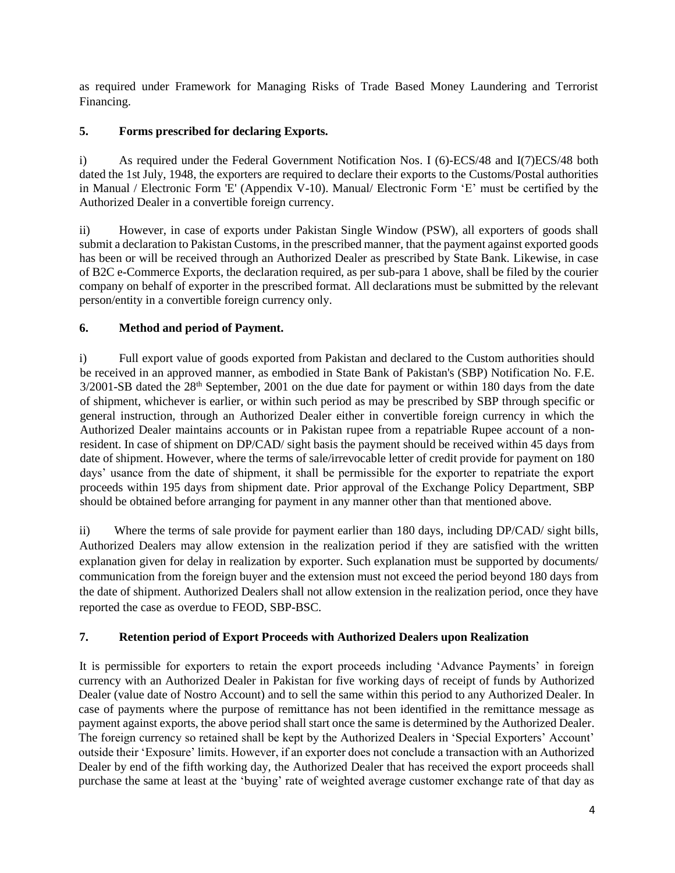as required under Framework for Managing Risks of Trade Based Money Laundering and Terrorist Financing.

## **5. Forms prescribed for declaring Exports.**

i) As required under the Federal Government Notification Nos. I (6)-ECS/48 and I(7)ECS/48 both dated the 1st July, 1948, the exporters are required to declare their exports to the Customs/Postal authorities in Manual / Electronic Form 'E' (Appendix V-10). Manual/ Electronic Form 'E' must be certified by the Authorized Dealer in a convertible foreign currency.

ii) However, in case of exports under Pakistan Single Window (PSW), all exporters of goods shall submit a declaration to Pakistan Customs, in the prescribed manner, that the payment against exported goods has been or will be received through an Authorized Dealer as prescribed by State Bank. Likewise, in case of B2C e-Commerce Exports, the declaration required, as per sub-para 1 above, shall be filed by the courier company on behalf of exporter in the prescribed format. All declarations must be submitted by the relevant person/entity in a convertible foreign currency only.

# **6. Method and period of Payment.**

i) Full export value of goods exported from Pakistan and declared to the Custom authorities should be received in an approved manner, as embodied in State Bank of Pakistan's (SBP) Notification No. F.E. 3/2001-SB dated the 28<sup>th</sup> September, 2001 on the due date for payment or within 180 days from the date of shipment, whichever is earlier, or within such period as may be prescribed by SBP through specific or general instruction, through an Authorized Dealer either in convertible foreign currency in which the Authorized Dealer maintains accounts or in Pakistan rupee from a repatriable Rupee account of a nonresident. In case of shipment on DP/CAD/ sight basis the payment should be received within 45 days from date of shipment. However, where the terms of sale/irrevocable letter of credit provide for payment on 180 days' usance from the date of shipment, it shall be permissible for the exporter to repatriate the export proceeds within 195 days from shipment date. Prior approval of the Exchange Policy Department, SBP should be obtained before arranging for payment in any manner other than that mentioned above.

ii) Where the terms of sale provide for payment earlier than 180 days, including DP/CAD/ sight bills, Authorized Dealers may allow extension in the realization period if they are satisfied with the written explanation given for delay in realization by exporter. Such explanation must be supported by documents/ communication from the foreign buyer and the extension must not exceed the period beyond 180 days from the date of shipment. Authorized Dealers shall not allow extension in the realization period, once they have reported the case as overdue to FEOD, SBP-BSC.

# **7. Retention period of Export Proceeds with Authorized Dealers upon Realization**

It is permissible for exporters to retain the export proceeds including 'Advance Payments' in foreign currency with an Authorized Dealer in Pakistan for five working days of receipt of funds by Authorized Dealer (value date of Nostro Account) and to sell the same within this period to any Authorized Dealer. In case of payments where the purpose of remittance has not been identified in the remittance message as payment against exports, the above period shall start once the same is determined by the Authorized Dealer. The foreign currency so retained shall be kept by the Authorized Dealers in 'Special Exporters' Account' outside their 'Exposure' limits. However, if an exporter does not conclude a transaction with an Authorized Dealer by end of the fifth working day, the Authorized Dealer that has received the export proceeds shall purchase the same at least at the 'buying' rate of weighted average customer exchange rate of that day as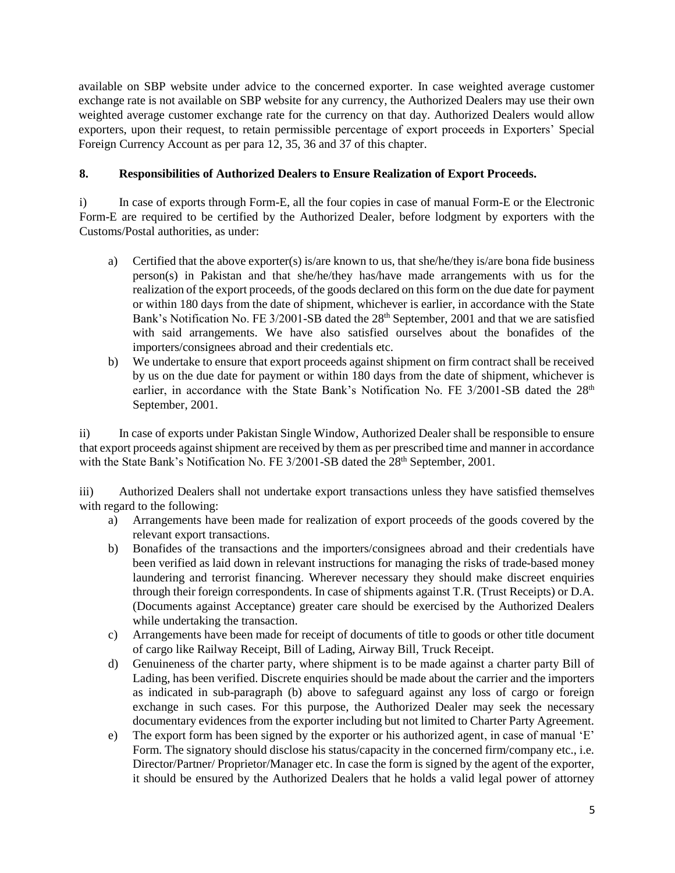available on SBP website under advice to the concerned exporter. In case weighted average customer exchange rate is not available on SBP website for any currency, the Authorized Dealers may use their own weighted average customer exchange rate for the currency on that day. Authorized Dealers would allow exporters, upon their request, to retain permissible percentage of export proceeds in Exporters' Special Foreign Currency Account as per para 12, 35, 36 and 37 of this chapter.

## **8. Responsibilities of Authorized Dealers to Ensure Realization of Export Proceeds.**

i) In case of exports through Form-E, all the four copies in case of manual Form-E or the Electronic Form-E are required to be certified by the Authorized Dealer, before lodgment by exporters with the Customs/Postal authorities, as under:

- a) Certified that the above exporter(s) is/are known to us, that she/he/they is/are bona fide business person(s) in Pakistan and that she/he/they has/have made arrangements with us for the realization of the export proceeds, of the goods declared on this form on the due date for payment or within 180 days from the date of shipment, whichever is earlier, in accordance with the State Bank's Notification No. FE 3/2001-SB dated the 28<sup>th</sup> September, 2001 and that we are satisfied with said arrangements. We have also satisfied ourselves about the bonafides of the importers/consignees abroad and their credentials etc.
- b) We undertake to ensure that export proceeds against shipment on firm contract shall be received by us on the due date for payment or within 180 days from the date of shipment, whichever is earlier, in accordance with the State Bank's Notification No. FE 3/2001-SB dated the 28<sup>th</sup> September, 2001.

ii) In case of exports under Pakistan Single Window, Authorized Dealer shall be responsible to ensure that export proceeds against shipment are received by them as per prescribed time and manner in accordance with the State Bank's Notification No. FE 3/2001-SB dated the 28<sup>th</sup> September, 2001.

iii) Authorized Dealers shall not undertake export transactions unless they have satisfied themselves with regard to the following:

- a) Arrangements have been made for realization of export proceeds of the goods covered by the relevant export transactions.
- b) Bonafides of the transactions and the importers/consignees abroad and their credentials have been verified as laid down in relevant instructions for managing the risks of trade-based money laundering and terrorist financing. Wherever necessary they should make discreet enquiries through their foreign correspondents. In case of shipments against T.R. (Trust Receipts) or D.A. (Documents against Acceptance) greater care should be exercised by the Authorized Dealers while undertaking the transaction.
- c) Arrangements have been made for receipt of documents of title to goods or other title document of cargo like Railway Receipt, Bill of Lading, Airway Bill, Truck Receipt.
- d) Genuineness of the charter party, where shipment is to be made against a charter party Bill of Lading, has been verified. Discrete enquiries should be made about the carrier and the importers as indicated in [sub-paragraph \(b\) above](http://www.sbp.org.pk/femanual/Updated%20FE%20Manual/chapters/chapter12.htm#Bullet 7 (b) (ii)) to safeguard against any loss of cargo or foreign exchange in such cases. For this purpose, the Authorized Dealer may seek the necessary documentary evidences from the exporter including but not limited to Charter Party Agreement.
- e) The export form has been signed by the exporter or his authorized agent, in case of manual 'E' Form. The signatory should disclose his status/capacity in the concerned firm/company etc., i.e. Director/Partner/ Proprietor/Manager etc. In case the form is signed by the agent of the exporter, it should be ensured by the Authorized Dealers that he holds a valid legal power of attorney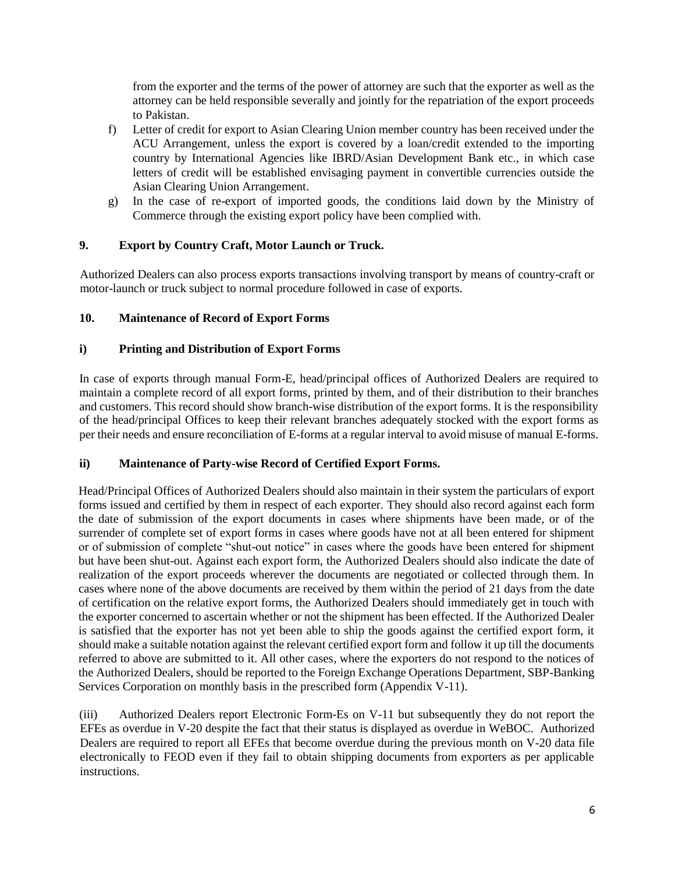from the exporter and the terms of the power of attorney are such that the exporter as well as the attorney can be held responsible severally and jointly for the repatriation of the export proceeds to Pakistan.

- f) Letter of credit for export to Asian Clearing Union member country has been received under the ACU Arrangement, unless the export is covered by a loan/credit extended to the importing country by International Agencies like IBRD/Asian Development Bank etc., in which case letters of credit will be established envisaging payment in convertible currencies outside the Asian Clearing Union Arrangement.
- g) In the case of re-export of imported goods, the conditions laid down by the Ministry of Commerce through the existing export policy have been complied with.

## **9. Export by Country Craft, Motor Launch or Truck.**

Authorized Dealers can also process exports transactions involving transport by means of country-craft or motor-launch or truck subject to normal procedure followed in case of exports.

## **10. Maintenance of Record of Export Forms**

## **i) Printing and Distribution of Export Forms**

In case of exports through manual Form-E, head/principal offices of Authorized Dealers are required to maintain a complete record of all export forms, printed by them, and of their distribution to their branches and customers. This record should show branch-wise distribution of the export forms. It is the responsibility of the head/principal Offices to keep their relevant branches adequately stocked with the export forms as per their needs and ensure reconciliation of E-forms at a regular interval to avoid misuse of manual E-forms.

## **ii) Maintenance of Party-wise Record of Certified Export Forms.**

Head/Principal Offices of Authorized Dealers should also maintain in their system the particulars of export forms issued and certified by them in respect of each exporter. They should also record against each form the date of submission of the export documents in cases where shipments have been made, or of the surrender of complete set of export forms in cases where goods have not at all been entered for shipment or of submission of complete "shut-out notice" in cases where the goods have been entered for shipment but have been shut-out. Against each export form, the Authorized Dealers should also indicate the date of realization of the export proceeds wherever the documents are negotiated or collected through them. In cases where none of the above documents are received by them within the period of 21 days from the date of certification on the relative export forms, the Authorized Dealers should immediately get in touch with the exporter concerned to ascertain whether or not the shipment has been effected. If the Authorized Dealer is satisfied that the exporter has not yet been able to ship the goods against the certified export form, it should make a suitable notation against the relevant certified export form and follow it up till the documents referred to above are submitted to it. All other cases, where the exporters do not respond to the notices of the Authorized Dealers, should be reported to the Foreign Exchange Operations Department, SBP-Banking Services Corporation on monthly basis in the prescribed form (Appendix V-11).

(iii) Authorized Dealers report Electronic Form-Es on V-11 but subsequently they do not report the EFEs as overdue in V-20 despite the fact that their status is displayed as overdue in WeBOC. Authorized Dealers are required to report all EFEs that become overdue during the previous month on V-20 data file electronically to FEOD even if they fail to obtain shipping documents from exporters as per applicable instructions.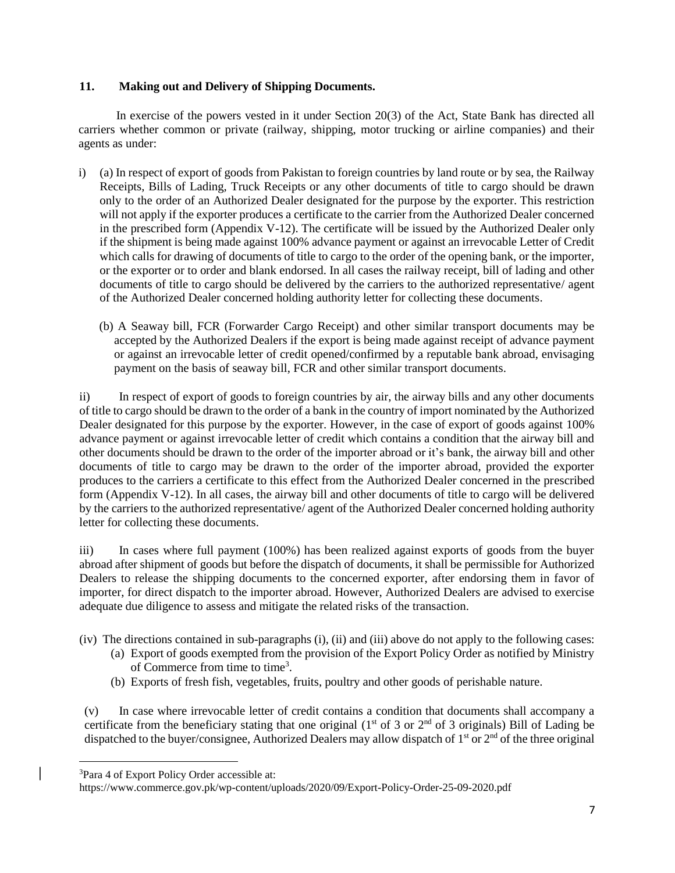#### **11. Making out and Delivery of Shipping Documents.**

In exercise of the powers vested in it under Section 20(3) of the Act, State Bank has directed all carriers whether common or private (railway, shipping, motor trucking or airline companies) and their agents as under:

- i) (a) In respect of export of goods from Pakistan to foreign countries by land route or by sea, the Railway Receipts, Bills of Lading, Truck Receipts or any other documents of title to cargo should be drawn only to the order of an Authorized Dealer designated for the purpose by the exporter. This restriction will not apply if the exporter produces a certificate to the carrier from the Authorized Dealer concerned in the prescribed form (Appendix V-12). The certificate will be issued by the Authorized Dealer only if the shipment is being made against 100% advance payment or against an irrevocable Letter of Credit which calls for drawing of documents of title to cargo to the order of the opening bank, or the importer, or the exporter or to order and blank endorsed. In all cases the railway receipt, bill of lading and other documents of title to cargo should be delivered by the carriers to the authorized representative/ agent of the Authorized Dealer concerned holding authority letter for collecting these documents.
	- (b) A Seaway bill, FCR (Forwarder Cargo Receipt) and other similar transport documents may be accepted by the Authorized Dealers if the export is being made against receipt of advance payment or against an irrevocable letter of credit opened/confirmed by a reputable bank abroad, envisaging payment on the basis of seaway bill, FCR and other similar transport documents.

ii) In respect of export of goods to foreign countries by air, the airway bills and any other documents of title to cargo should be drawn to the order of a bank in the country of import nominated by the Authorized Dealer designated for this purpose by the exporter. However, in the case of export of goods against 100% advance payment or against irrevocable letter of credit which contains a condition that the airway bill and other documents should be drawn to the order of the importer abroad or it's bank, the airway bill and other documents of title to cargo may be drawn to the order of the importer abroad, provided the exporter produces to the carriers a certificate to this effect from the Authorized Dealer concerned in the prescribed form (Appendix V-12). In all cases, the airway bill and other documents of title to cargo will be delivered by the carriers to the authorized representative/ agent of the Authorized Dealer concerned holding authority letter for collecting these documents.

iii) In cases where full payment (100%) has been realized against exports of goods from the buyer abroad after shipment of goods but before the dispatch of documents, it shall be permissible for Authorized Dealers to release the shipping documents to the concerned exporter, after endorsing them in favor of importer, for direct dispatch to the importer abroad. However, Authorized Dealers are advised to exercise adequate due diligence to assess and mitigate the related risks of the transaction.

- (iv) The directions contained in sub-paragraphs (i), (ii) and (iii) above do not apply to the following cases:
	- (a) Export of goods exempted from the provision of the Export Policy Order as notified by Ministry of Commerce from time to time<sup>3</sup>.
	- (b) Exports of fresh fish, vegetables, fruits, poultry and other goods of perishable nature.

(v) In case where irrevocable letter of credit contains a condition that documents shall accompany a certificate from the beneficiary stating that one original ( $1<sup>st</sup>$  of 3 or  $2<sup>nd</sup>$  of 3 originals) Bill of Lading be dispatched to the buyer/consignee, Authorized Dealers may allow dispatch of 1<sup>st</sup> or 2<sup>nd</sup> of the three original

<sup>3</sup>Para 4 of Export Policy Order accessible at:

https://www.commerce.gov.pk/wp-content/uploads/2020/09/Export-Policy-Order-25-09-2020.pdf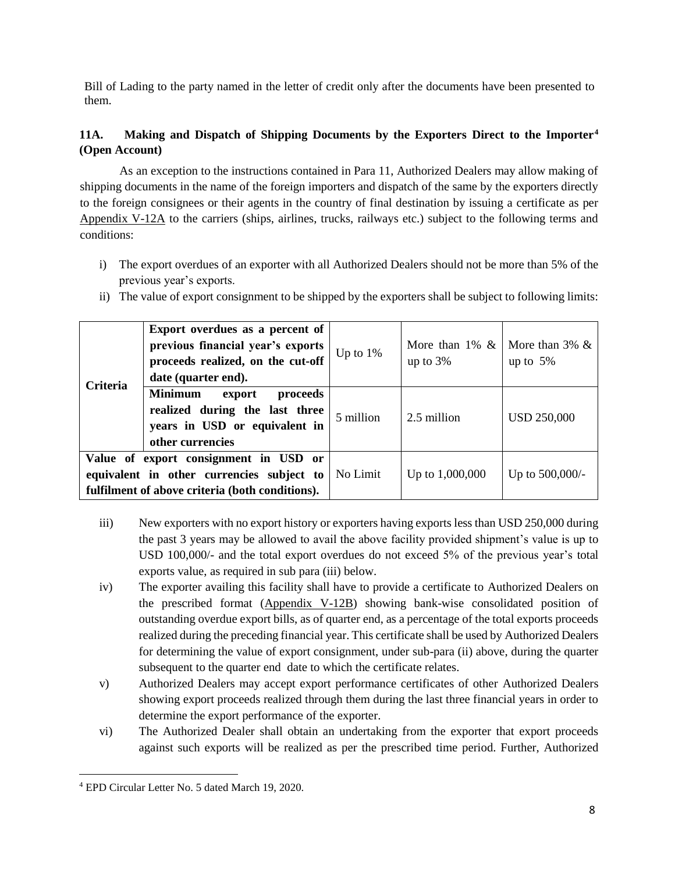Bill of Lading to the party named in the letter of credit only after the documents have been presented to them.

## **11A. Making and Dispatch of Shipping Documents by the Exporters Direct to the Importer<sup>4</sup> (Open Account)**

As an exception to the instructions contained in Para 11, Authorized Dealers may allow making of shipping documents in the name of the foreign importers and dispatch of the same by the exporters directly to the foreign consignees or their agents in the country of final destination by issuing a certificate as per [Appendix V-12A](https://www.sbp.org.pk/epd/2020/Appendix-V-12A.pdf) to the carriers (ships, airlines, trucks, railways etc.) subject to the following terms and conditions:

- i) The export overdues of an exporter with all Authorized Dealers should not be more than 5% of the previous year's exports.
- ii) The value of export consignment to be shipped by the exporters shall be subject to following limits:

| <b>Criteria</b>                                                                                                                       | Export overdues as a percent of<br>previous financial year's exports<br>proceeds realized, on the cut-off                                          | Up to $1\%$ | More than 1% &   More than 3% &<br>up to $3%$ | up to $5%$         |
|---------------------------------------------------------------------------------------------------------------------------------------|----------------------------------------------------------------------------------------------------------------------------------------------------|-------------|-----------------------------------------------|--------------------|
|                                                                                                                                       | date (quarter end).<br><b>Minimum</b><br>proceeds<br>export<br>realized during the last three<br>years in USD or equivalent in<br>other currencies | 5 million   | 2.5 million                                   | <b>USD 250,000</b> |
| Value of export consignment in USD or<br>equivalent in other currencies subject to<br>fulfilment of above criteria (both conditions). |                                                                                                                                                    | No Limit    | Up to $1,000,000$                             | Up to 500,000/-    |

- iii) New exporters with no export history or exporters having exports less than USD 250,000 during the past 3 years may be allowed to avail the above facility provided shipment's value is up to USD 100,000/- and the total export overdues do not exceed 5% of the previous year's total exports value, as required in sub para (iii) below.
- iv) The exporter availing this facility shall have to provide a certificate to Authorized Dealers on the prescribed format [\(Appendix V-12B\)](https://www.sbp.org.pk/epd/2020/Appendix-V-12B.pdf) showing bank-wise consolidated position of outstanding overdue export bills, as of quarter end, as a percentage of the total exports proceeds realized during the preceding financial year. This certificate shall be used by Authorized Dealers for determining the value of export consignment, under sub-para (ii) above, during the quarter subsequent to the quarter end date to which the certificate relates.
- v) Authorized Dealers may accept export performance certificates of other Authorized Dealers showing export proceeds realized through them during the last three financial years in order to determine the export performance of the exporter.
- vi) The Authorized Dealer shall obtain an undertaking from the exporter that export proceeds against such exports will be realized as per the prescribed time period. Further, Authorized

<sup>4</sup> EPD Circular Letter No. 5 dated March 19, 2020.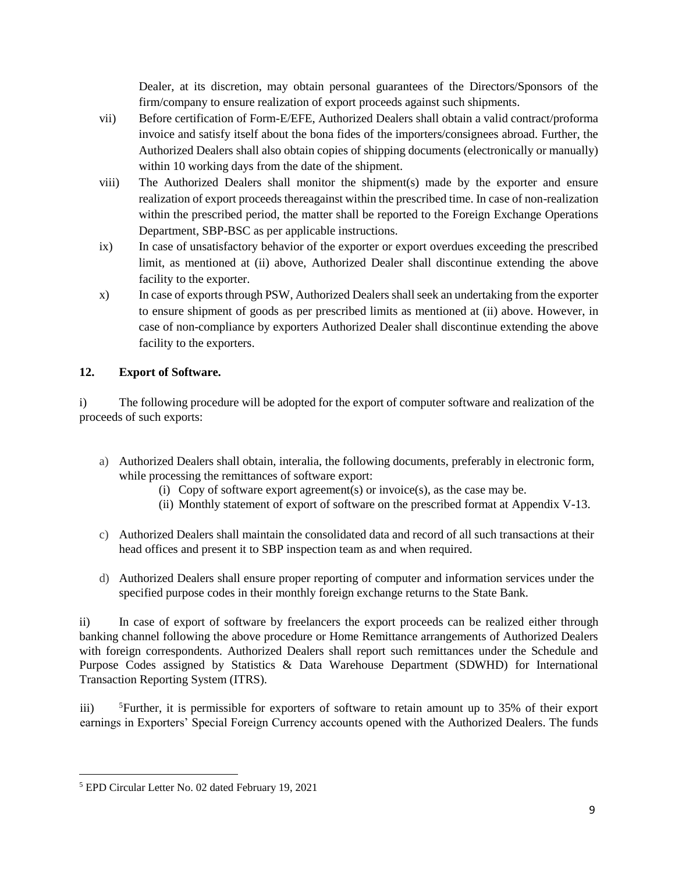Dealer, at its discretion, may obtain personal guarantees of the Directors/Sponsors of the firm/company to ensure realization of export proceeds against such shipments.

- vii) Before certification of Form-E/EFE, Authorized Dealers shall obtain a valid contract/proforma invoice and satisfy itself about the bona fides of the importers/consignees abroad. Further, the Authorized Dealers shall also obtain copies of shipping documents (electronically or manually) within 10 working days from the date of the shipment.
- viii) The Authorized Dealers shall monitor the shipment(s) made by the exporter and ensure realization of export proceeds thereagainst within the prescribed time. In case of non-realization within the prescribed period, the matter shall be reported to the Foreign Exchange Operations Department, SBP-BSC as per applicable instructions.
- ix) In case of unsatisfactory behavior of the exporter or export overdues exceeding the prescribed limit, as mentioned at (ii) above, Authorized Dealer shall discontinue extending the above facility to the exporter.
- x) In case of exports through PSW, Authorized Dealers shall seek an undertaking from the exporter to ensure shipment of goods as per prescribed limits as mentioned at (ii) above. However, in case of non-compliance by exporters Authorized Dealer shall discontinue extending the above facility to the exporters.

## **12. Export of Software.**

i) The following procedure will be adopted for the export of computer software and realization of the proceeds of such exports:

- a) Authorized Dealers shall obtain, interalia, the following documents, preferably in electronic form, while processing the remittances of software export:
	- (i) Copy of software export agreement(s) or invoice(s), as the case may be.
	- (ii) Monthly statement of export of software on the prescribed format at Appendix V-13.
- c) Authorized Dealers shall maintain the consolidated data and record of all such transactions at their head offices and present it to SBP inspection team as and when required.
- d) Authorized Dealers shall ensure proper reporting of computer and information services under the specified purpose codes in their monthly foreign exchange returns to the State Bank.

ii) In case of export of software by freelancers the export proceeds can be realized either through banking channel following the above procedure or Home Remittance arrangements of Authorized Dealers with foreign correspondents. Authorized Dealers shall report such remittances under the Schedule and Purpose Codes assigned by Statistics & Data Warehouse Department (SDWHD) for International Transaction Reporting System (ITRS).

iii) <sup>5</sup>Further, it is permissible for exporters of software to retain amount up to 35% of their export earnings in Exporters' Special Foreign Currency accounts opened with the Authorized Dealers. The funds

<sup>5</sup> EPD Circular Letter No. 02 dated February 19, 2021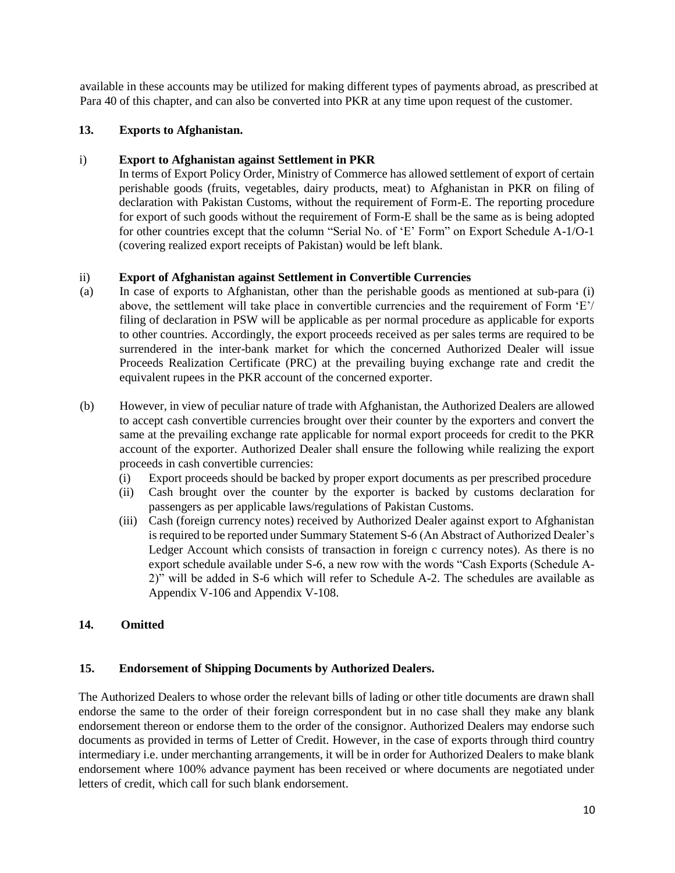available in these accounts may be utilized for making different types of payments abroad, as prescribed at Para 40 of this chapter, and can also be converted into PKR at any time upon request of the customer.

## **13. Exports to Afghanistan.**

### i) **Export to Afghanistan against Settlement in PKR**

In terms of Export Policy Order, Ministry of Commerce has allowed settlement of export of certain perishable goods (fruits, vegetables, dairy products, meat) to Afghanistan in PKR on filing of declaration with Pakistan Customs, without the requirement of Form-E. The reporting procedure for export of such goods without the requirement of Form-E shall be the same as is being adopted for other countries except that the column "Serial No. of 'E' Form" on Export Schedule A-1/O-1 (covering realized export receipts of Pakistan) would be left blank.

### ii) **Export of Afghanistan against Settlement in Convertible Currencies**

- (a) In case of exports to Afghanistan, other than the perishable goods as mentioned at sub-para (i) above, the settlement will take place in convertible currencies and the requirement of Form 'E'/ filing of declaration in PSW will be applicable as per normal procedure as applicable for exports to other countries. Accordingly, the export proceeds received as per sales terms are required to be surrendered in the inter-bank market for which the concerned Authorized Dealer will issue Proceeds Realization Certificate (PRC) at the prevailing buying exchange rate and credit the equivalent rupees in the PKR account of the concerned exporter.
- (b) However, in view of peculiar nature of trade with Afghanistan, the Authorized Dealers are allowed to accept cash convertible currencies brought over their counter by the exporters and convert the same at the prevailing exchange rate applicable for normal export proceeds for credit to the PKR account of the exporter. Authorized Dealer shall ensure the following while realizing the export proceeds in cash convertible currencies:
	- (i) Export proceeds should be backed by proper export documents as per prescribed procedure
	- (ii) Cash brought over the counter by the exporter is backed by customs declaration for passengers as per applicable laws/regulations of Pakistan Customs.
	- (iii) Cash (foreign currency notes) received by Authorized Dealer against export to Afghanistan is required to be reported under Summary Statement S-6 (An Abstract of Authorized Dealer's Ledger Account which consists of transaction in foreign c currency notes). As there is no export schedule available under S-6, a new row with the words "Cash Exports (Schedule A-2)" will be added in S-6 which will refer to Schedule A-2. The schedules are available as Appendix V-106 and Appendix V-108.

## **14. Omitted**

## **15. Endorsement of Shipping Documents by Authorized Dealers.**

The Authorized Dealers to whose order the relevant bills of lading or other title documents are drawn shall endorse the same to the order of their foreign correspondent but in no case shall they make any blank endorsement thereon or endorse them to the order of the consignor. Authorized Dealers may endorse such documents as provided in terms of Letter of Credit. However, in the case of exports through third country intermediary i.e. under merchanting arrangements, it will be in order for Authorized Dealers to make blank endorsement where 100% advance payment has been received or where documents are negotiated under letters of credit, which call for such blank endorsement.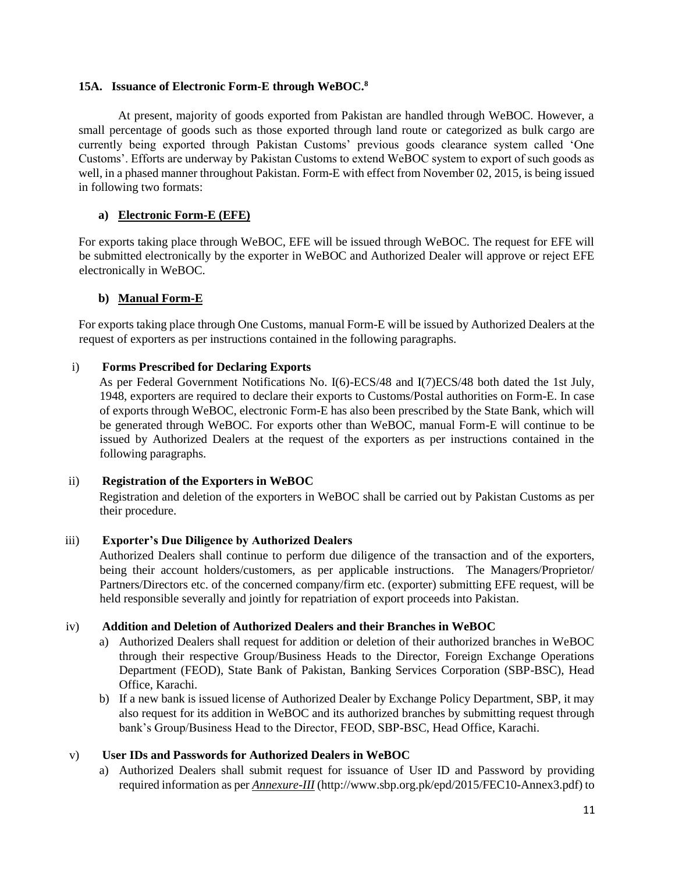#### **15A. Issuance of Electronic Form-E through WeBOC.<sup>8</sup>**

At present, majority of goods exported from Pakistan are handled through WeBOC. However, a small percentage of goods such as those exported through land route or categorized as bulk cargo are currently being exported through Pakistan Customs' previous goods clearance system called 'One Customs'. Efforts are underway by Pakistan Customs to extend WeBOC system to export of such goods as well, in a phased manner throughout Pakistan. Form-E with effect from November 02, 2015, is being issued in following two formats:

#### **a) Electronic Form-E (EFE)**

For exports taking place through WeBOC, EFE will be issued through WeBOC. The request for EFE will be submitted electronically by the exporter in WeBOC and Authorized Dealer will approve or reject EFE electronically in WeBOC.

#### **b) Manual Form-E**

For exports taking place through One Customs, manual Form-E will be issued by Authorized Dealers at the request of exporters as per instructions contained in the following paragraphs.

#### i) **Forms Prescribed for Declaring Exports**

As per Federal Government Notifications No. I(6)-ECS/48 and I(7)ECS/48 both dated the 1st July, 1948, exporters are required to declare their exports to Customs/Postal authorities on Form-E. In case of exports through WeBOC, electronic Form-E has also been prescribed by the State Bank, which will be generated through WeBOC. For exports other than WeBOC, manual Form-E will continue to be issued by Authorized Dealers at the request of the exporters as per instructions contained in the following paragraphs.

#### ii) **Registration of the Exporters in WeBOC**

Registration and deletion of the exporters in WeBOC shall be carried out by Pakistan Customs as per their procedure.

#### iii) **Exporter's Due Diligence by Authorized Dealers**

Authorized Dealers shall continue to perform due diligence of the transaction and of the exporters, being their account holders/customers, as per applicable instructions. The Managers/Proprietor/ Partners/Directors etc. of the concerned company/firm etc. (exporter) submitting EFE request, will be held responsible severally and jointly for repatriation of export proceeds into Pakistan.

### iv) **Addition and Deletion of Authorized Dealers and their Branches in WeBOC**

- a) Authorized Dealers shall request for addition or deletion of their authorized branches in WeBOC through their respective Group/Business Heads to the Director, Foreign Exchange Operations Department (FEOD), State Bank of Pakistan, Banking Services Corporation (SBP-BSC), Head Office, Karachi.
- b) If a new bank is issued license of Authorized Dealer by Exchange Policy Department, SBP, it may also request for its addition in WeBOC and its authorized branches by submitting request through bank's Group/Business Head to the Director, FEOD, SBP-BSC, Head Office, Karachi.

#### v) **User IDs and Passwords for Authorized Dealers in WeBOC**

a) Authorized Dealers shall submit request for issuance of User ID and Password by providing required information as per *Annexure-III* (http://www.sbp.org.pk/epd/2015/FEC10-Annex3.pdf) to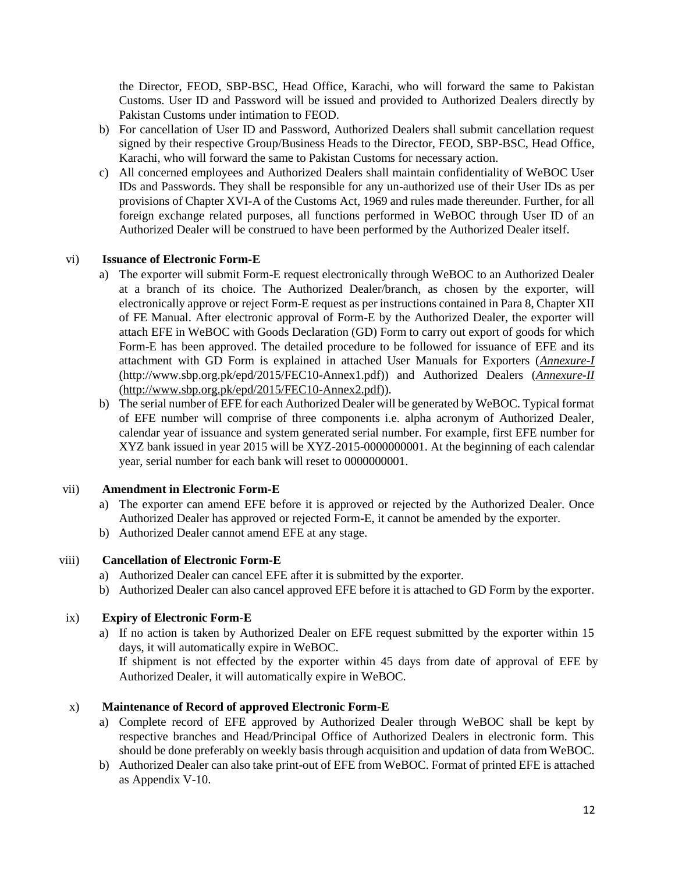the Director, FEOD, SBP-BSC, Head Office, Karachi, who will forward the same to Pakistan Customs. User ID and Password will be issued and provided to Authorized Dealers directly by Pakistan Customs under intimation to FEOD.

- b) For cancellation of User ID and Password, Authorized Dealers shall submit cancellation request signed by their respective Group/Business Heads to the Director, FEOD, SBP-BSC, Head Office, Karachi, who will forward the same to Pakistan Customs for necessary action.
- c) All concerned employees and Authorized Dealers shall maintain confidentiality of WeBOC User IDs and Passwords. They shall be responsible for any un-authorized use of their User IDs as per provisions of Chapter XVI-A of the Customs Act, 1969 and rules made thereunder. Further, for all foreign exchange related purposes, all functions performed in WeBOC through User ID of an Authorized Dealer will be construed to have been performed by the Authorized Dealer itself.

### vi) **Issuance of Electronic Form-E**

- a) The exporter will submit Form-E request electronically through WeBOC to an Authorized Dealer at a branch of its choice. The Authorized Dealer/branch, as chosen by the exporter, will electronically approve or reject Form-E request as per instructions contained in Para 8, Chapter XII of FE Manual. After electronic approval of Form-E by the Authorized Dealer, the exporter will attach EFE in WeBOC with Goods Declaration (GD) Form to carry out export of goods for which Form-E has been approved. The detailed procedure to be followed for issuance of EFE and its attachment with GD Form is explained in attached User Manuals for Exporters (*Annexure-I* (http://www.sbp.org.pk/epd/2015/FEC10-Annex1.pdf)) and Authorized Dealers (*Annexure-II* [\(http://www.sbp.org.pk/epd/2015/FEC10-Annex2.pdf\)](http://www.sbp.org.pk/epd/2015/FEC10-Annex2.pdf)).
- b) The serial number of EFE for each Authorized Dealer will be generated by WeBOC. Typical format of EFE number will comprise of three components i.e. alpha acronym of Authorized Dealer, calendar year of issuance and system generated serial number. For example, first EFE number for XYZ bank issued in year 2015 will be XYZ-2015-0000000001. At the beginning of each calendar year, serial number for each bank will reset to 0000000001.

## vii) **Amendment in Electronic Form-E**

- a) The exporter can amend EFE before it is approved or rejected by the Authorized Dealer. Once Authorized Dealer has approved or rejected Form-E, it cannot be amended by the exporter.
- b) Authorized Dealer cannot amend EFE at any stage.

## viii) **Cancellation of Electronic Form-E**

- a) Authorized Dealer can cancel EFE after it is submitted by the exporter.
- b) Authorized Dealer can also cancel approved EFE before it is attached to GD Form by the exporter.

## ix) **Expiry of Electronic Form-E**

a) If no action is taken by Authorized Dealer on EFE request submitted by the exporter within 15 days, it will automatically expire in WeBOC.

If shipment is not effected by the exporter within 45 days from date of approval of EFE by Authorized Dealer, it will automatically expire in WeBOC.

## x) **Maintenance of Record of approved Electronic Form-E**

- a) Complete record of EFE approved by Authorized Dealer through WeBOC shall be kept by respective branches and Head/Principal Office of Authorized Dealers in electronic form. This should be done preferably on weekly basis through acquisition and updation of data from WeBOC.
- b) Authorized Dealer can also take print-out of EFE from WeBOC. Format of printed EFE is attached as Appendix V-10.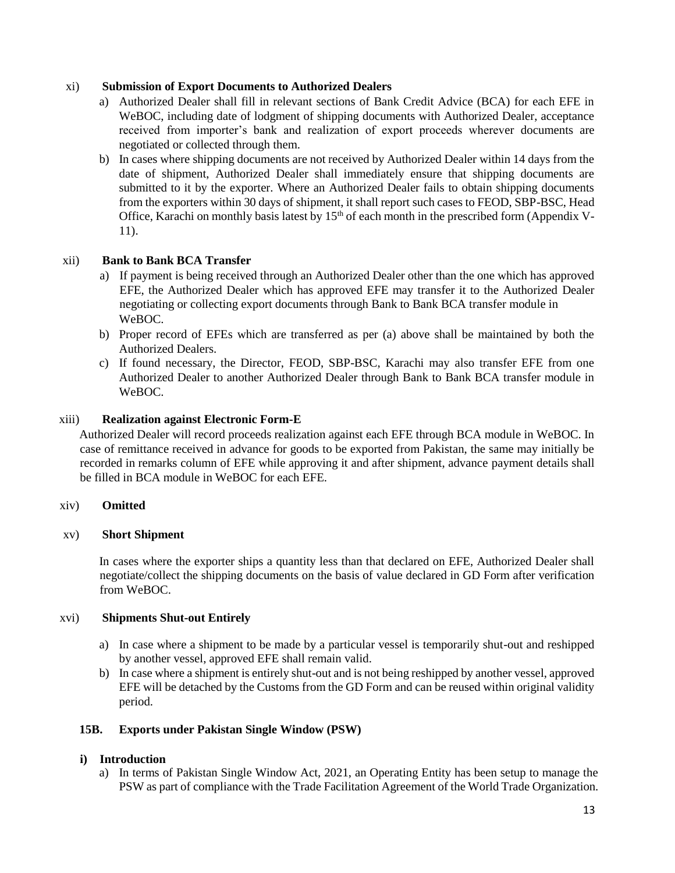#### xi) **Submission of Export Documents to Authorized Dealers**

- a) Authorized Dealer shall fill in relevant sections of Bank Credit Advice (BCA) for each EFE in WeBOC, including date of lodgment of shipping documents with Authorized Dealer, acceptance received from importer's bank and realization of export proceeds wherever documents are negotiated or collected through them.
- b) In cases where shipping documents are not received by Authorized Dealer within 14 days from the date of shipment, Authorized Dealer shall immediately ensure that shipping documents are submitted to it by the exporter. Where an Authorized Dealer fails to obtain shipping documents from the exporters within 30 days of shipment, it shall report such cases to FEOD, SBP-BSC, Head Office, Karachi on monthly basis latest by  $15<sup>th</sup>$  of each month in the prescribed form (Appendix V-11).

### xii) **Bank to Bank BCA Transfer**

- a) If payment is being received through an Authorized Dealer other than the one which has approved EFE, the Authorized Dealer which has approved EFE may transfer it to the Authorized Dealer negotiating or collecting export documents through Bank to Bank BCA transfer module in WeBOC.
- b) Proper record of EFEs which are transferred as per (a) above shall be maintained by both the Authorized Dealers.
- c) If found necessary, the Director, FEOD, SBP-BSC, Karachi may also transfer EFE from one Authorized Dealer to another Authorized Dealer through Bank to Bank BCA transfer module in WeBOC.

#### xiii) **Realization against Electronic Form-E**

Authorized Dealer will record proceeds realization against each EFE through BCA module in WeBOC. In case of remittance received in advance for goods to be exported from Pakistan, the same may initially be recorded in remarks column of EFE while approving it and after shipment, advance payment details shall be filled in BCA module in WeBOC for each EFE.

#### xiv) **Omitted**

#### xv) **Short Shipment**

In cases where the exporter ships a quantity less than that declared on EFE, Authorized Dealer shall negotiate/collect the shipping documents on the basis of value declared in GD Form after verification from WeBOC.

#### xvi) **Shipments Shut-out Entirely**

- a) In case where a shipment to be made by a particular vessel is temporarily shut-out and reshipped by another vessel, approved EFE shall remain valid.
- b) In case where a shipment is entirely shut-out and is not being reshipped by another vessel, approved EFE will be detached by the Customs from the GD Form and can be reused within original validity period.

#### **15B. Exports under Pakistan Single Window (PSW)**

#### **i) Introduction**

a) In terms of Pakistan Single Window Act, 2021, an Operating Entity has been setup to manage the PSW as part of compliance with the Trade Facilitation Agreement of the World Trade Organization.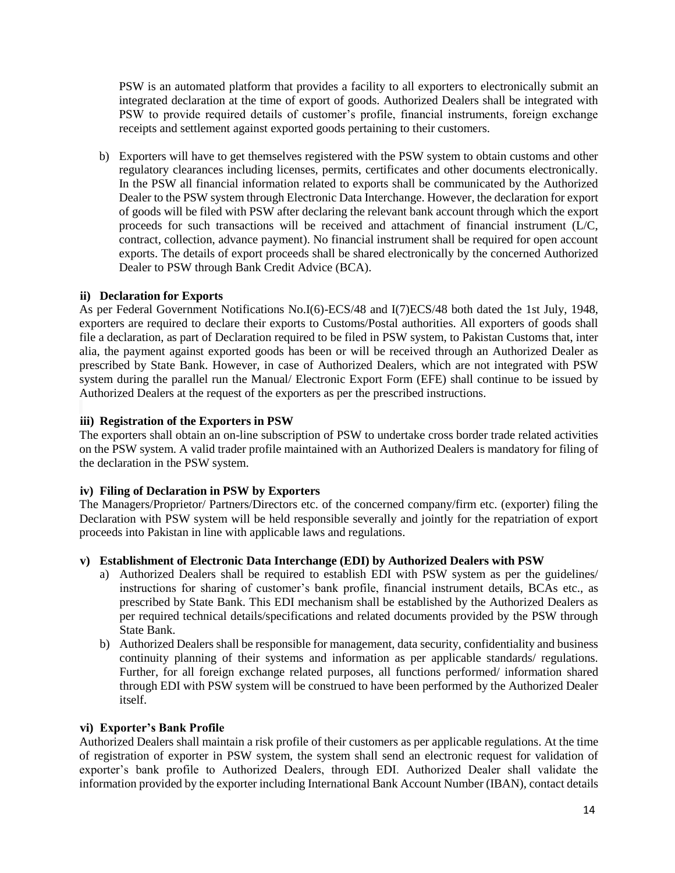PSW is an automated platform that provides a facility to all exporters to electronically submit an integrated declaration at the time of export of goods. Authorized Dealers shall be integrated with PSW to provide required details of customer's profile, financial instruments, foreign exchange receipts and settlement against exported goods pertaining to their customers.

b) Exporters will have to get themselves registered with the PSW system to obtain customs and other regulatory clearances including licenses, permits, certificates and other documents electronically. In the PSW all financial information related to exports shall be communicated by the Authorized Dealer to the PSW system through Electronic Data Interchange. However, the declaration for export of goods will be filed with PSW after declaring the relevant bank account through which the export proceeds for such transactions will be received and attachment of financial instrument (L/C, contract, collection, advance payment). No financial instrument shall be required for open account exports. The details of export proceeds shall be shared electronically by the concerned Authorized Dealer to PSW through Bank Credit Advice (BCA).

### **ii) Declaration for Exports**

As per Federal Government Notifications No.I(6)-ECS/48 and I(7)ECS/48 both dated the 1st July, 1948, exporters are required to declare their exports to Customs/Postal authorities. All exporters of goods shall file a declaration, as part of Declaration required to be filed in PSW system, to Pakistan Customs that, inter alia, the payment against exported goods has been or will be received through an Authorized Dealer as prescribed by State Bank. However, in case of Authorized Dealers, which are not integrated with PSW system during the parallel run the Manual/ Electronic Export Form (EFE) shall continue to be issued by Authorized Dealers at the request of the exporters as per the prescribed instructions.

### **iii) Registration of the Exporters in PSW**

The exporters shall obtain an on-line subscription of PSW to undertake cross border trade related activities on the PSW system. A valid trader profile maintained with an Authorized Dealers is mandatory for filing of the declaration in the PSW system.

## **iv) Filing of Declaration in PSW by Exporters**

The Managers/Proprietor/ Partners/Directors etc. of the concerned company/firm etc. (exporter) filing the Declaration with PSW system will be held responsible severally and jointly for the repatriation of export proceeds into Pakistan in line with applicable laws and regulations.

## **v) Establishment of Electronic Data Interchange (EDI) by Authorized Dealers with PSW**

- a) Authorized Dealers shall be required to establish EDI with PSW system as per the guidelines/ instructions for sharing of customer's bank profile, financial instrument details, BCAs etc., as prescribed by State Bank. This EDI mechanism shall be established by the Authorized Dealers as per required technical details/specifications and related documents provided by the PSW through State Bank.
- b) Authorized Dealers shall be responsible for management, data security, confidentiality and business continuity planning of their systems and information as per applicable standards/ regulations. Further, for all foreign exchange related purposes, all functions performed/ information shared through EDI with PSW system will be construed to have been performed by the Authorized Dealer itself.

#### **vi) Exporter's Bank Profile**

Authorized Dealers shall maintain a risk profile of their customers as per applicable regulations. At the time of registration of exporter in PSW system, the system shall send an electronic request for validation of exporter's bank profile to Authorized Dealers, through EDI. Authorized Dealer shall validate the information provided by the exporter including International Bank Account Number (IBAN), contact details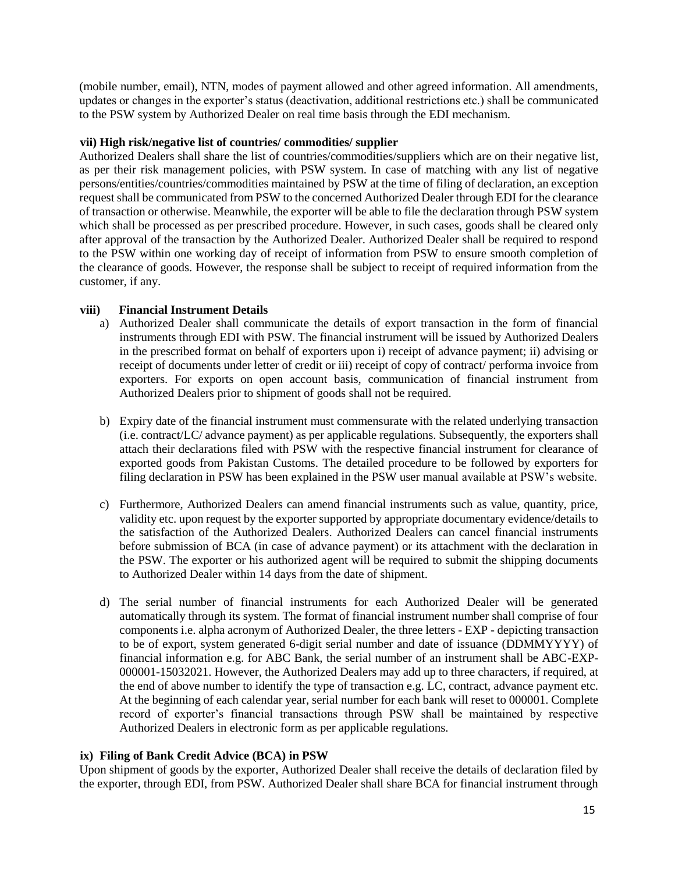(mobile number, email), NTN, modes of payment allowed and other agreed information. All amendments, updates or changes in the exporter's status (deactivation, additional restrictions etc.) shall be communicated to the PSW system by Authorized Dealer on real time basis through the EDI mechanism.

#### **vii) High risk/negative list of countries/ commodities/ supplier**

Authorized Dealers shall share the list of countries/commodities/suppliers which are on their negative list, as per their risk management policies, with PSW system. In case of matching with any list of negative persons/entities/countries/commodities maintained by PSW at the time of filing of declaration, an exception request shall be communicated from PSW to the concerned Authorized Dealer through EDI for the clearance of transaction or otherwise. Meanwhile, the exporter will be able to file the declaration through PSW system which shall be processed as per prescribed procedure. However, in such cases, goods shall be cleared only after approval of the transaction by the Authorized Dealer. Authorized Dealer shall be required to respond to the PSW within one working day of receipt of information from PSW to ensure smooth completion of the clearance of goods. However, the response shall be subject to receipt of required information from the customer, if any.

### **viii) Financial Instrument Details**

- a) Authorized Dealer shall communicate the details of export transaction in the form of financial instruments through EDI with PSW. The financial instrument will be issued by Authorized Dealers in the prescribed format on behalf of exporters upon i) receipt of advance payment; ii) advising or receipt of documents under letter of credit or iii) receipt of copy of contract/ performa invoice from exporters. For exports on open account basis, communication of financial instrument from Authorized Dealers prior to shipment of goods shall not be required.
- b) Expiry date of the financial instrument must commensurate with the related underlying transaction (i.e. contract/LC/ advance payment) as per applicable regulations. Subsequently, the exporters shall attach their declarations filed with PSW with the respective financial instrument for clearance of exported goods from Pakistan Customs. The detailed procedure to be followed by exporters for filing declaration in PSW has been explained in the PSW user manual available at PSW's website.
- c) Furthermore, Authorized Dealers can amend financial instruments such as value, quantity, price, validity etc. upon request by the exporter supported by appropriate documentary evidence/details to the satisfaction of the Authorized Dealers. Authorized Dealers can cancel financial instruments before submission of BCA (in case of advance payment) or its attachment with the declaration in the PSW. The exporter or his authorized agent will be required to submit the shipping documents to Authorized Dealer within 14 days from the date of shipment.
- d) The serial number of financial instruments for each Authorized Dealer will be generated automatically through its system. The format of financial instrument number shall comprise of four components i.e. alpha acronym of Authorized Dealer, the three letters - EXP - depicting transaction to be of export, system generated 6-digit serial number and date of issuance (DDMMYYYY) of financial information e.g. for ABC Bank, the serial number of an instrument shall be ABC-EXP-000001-15032021. However, the Authorized Dealers may add up to three characters, if required, at the end of above number to identify the type of transaction e.g. LC, contract, advance payment etc. At the beginning of each calendar year, serial number for each bank will reset to 000001. Complete record of exporter's financial transactions through PSW shall be maintained by respective Authorized Dealers in electronic form as per applicable regulations.

#### **ix) Filing of Bank Credit Advice (BCA) in PSW**

Upon shipment of goods by the exporter, Authorized Dealer shall receive the details of declaration filed by the exporter, through EDI, from PSW. Authorized Dealer shall share BCA for financial instrument through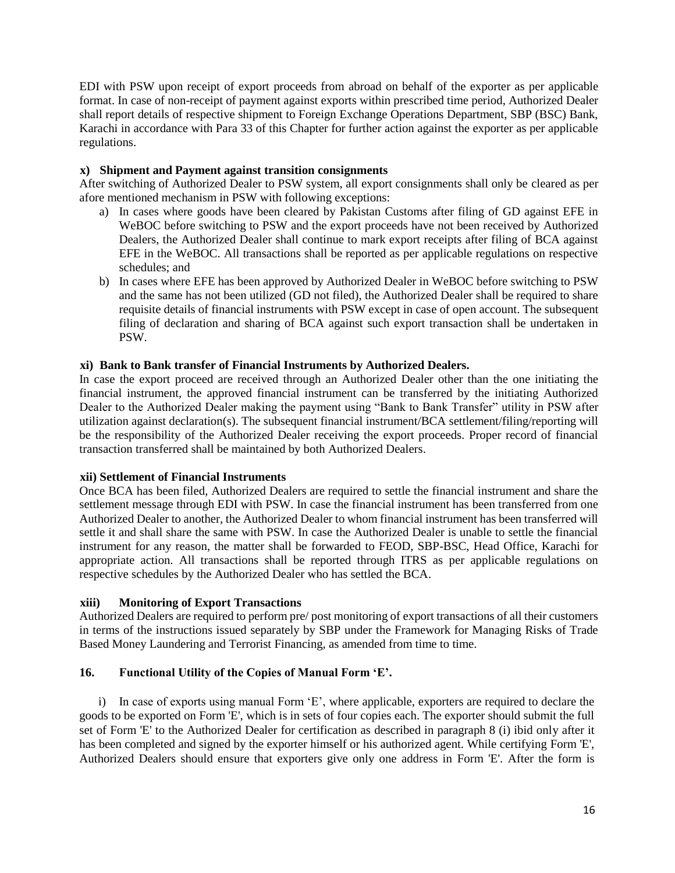EDI with PSW upon receipt of export proceeds from abroad on behalf of the exporter as per applicable format. In case of non-receipt of payment against exports within prescribed time period, Authorized Dealer shall report details of respective shipment to Foreign Exchange Operations Department, SBP (BSC) Bank, Karachi in accordance with Para 33 of this Chapter for further action against the exporter as per applicable regulations.

### **x) Shipment and Payment against transition consignments**

After switching of Authorized Dealer to PSW system, all export consignments shall only be cleared as per afore mentioned mechanism in PSW with following exceptions:

- a) In cases where goods have been cleared by Pakistan Customs after filing of GD against EFE in WeBOC before switching to PSW and the export proceeds have not been received by Authorized Dealers, the Authorized Dealer shall continue to mark export receipts after filing of BCA against EFE in the WeBOC. All transactions shall be reported as per applicable regulations on respective schedules; and
- b) In cases where EFE has been approved by Authorized Dealer in WeBOC before switching to PSW and the same has not been utilized (GD not filed), the Authorized Dealer shall be required to share requisite details of financial instruments with PSW except in case of open account. The subsequent filing of declaration and sharing of BCA against such export transaction shall be undertaken in PSW.

### **xi) Bank to Bank transfer of Financial Instruments by Authorized Dealers.**

In case the export proceed are received through an Authorized Dealer other than the one initiating the financial instrument, the approved financial instrument can be transferred by the initiating Authorized Dealer to the Authorized Dealer making the payment using "Bank to Bank Transfer" utility in PSW after utilization against declaration(s). The subsequent financial instrument/BCA settlement/filing/reporting will be the responsibility of the Authorized Dealer receiving the export proceeds. Proper record of financial transaction transferred shall be maintained by both Authorized Dealers.

#### **xii) Settlement of Financial Instruments**

Once BCA has been filed, Authorized Dealers are required to settle the financial instrument and share the settlement message through EDI with PSW. In case the financial instrument has been transferred from one Authorized Dealer to another, the Authorized Dealer to whom financial instrument has been transferred will settle it and shall share the same with PSW. In case the Authorized Dealer is unable to settle the financial instrument for any reason, the matter shall be forwarded to FEOD, SBP-BSC, Head Office, Karachi for appropriate action. All transactions shall be reported through ITRS as per applicable regulations on respective schedules by the Authorized Dealer who has settled the BCA.

#### **xiii) Monitoring of Export Transactions**

Authorized Dealers are required to perform pre/ post monitoring of export transactions of all their customers in terms of the instructions issued separately by SBP under the Framework for Managing Risks of Trade Based Money Laundering and Terrorist Financing, as amended from time to time.

## **16. Functional Utility of the Copies of Manual Form 'E'.**

i) In case of exports using manual Form 'E', where applicable, exporters are required to declare the goods to be exported on [Form 'E',](http://www.sbp.org.pk/femanual/Updated%20FE%20Manual/appendix%20files/appendix%205/ap5-13.htm) which is in sets of four copies each. The exporter should submit the full set of [Form 'E'](http://www.sbp.org.pk/femanual/Updated%20FE%20Manual/appendix%20files/appendix%205/ap5-13.htm) to the Authorized Dealer for certification as described in paragraph 8 (i) ibid only after it has been completed and signed by the exporter himself or his authorized agent. While certifying [Form 'E',](http://www.sbp.org.pk/femanual/Updated%20FE%20Manual/appendix%20files/appendix%205/ap5-13.htm) Authorized Dealers should ensure that exporters give only one address in [Form 'E'.](http://www.sbp.org.pk/femanual/Updated%20FE%20Manual/appendix%20files/appendix%205/ap5-13.htm) After the form is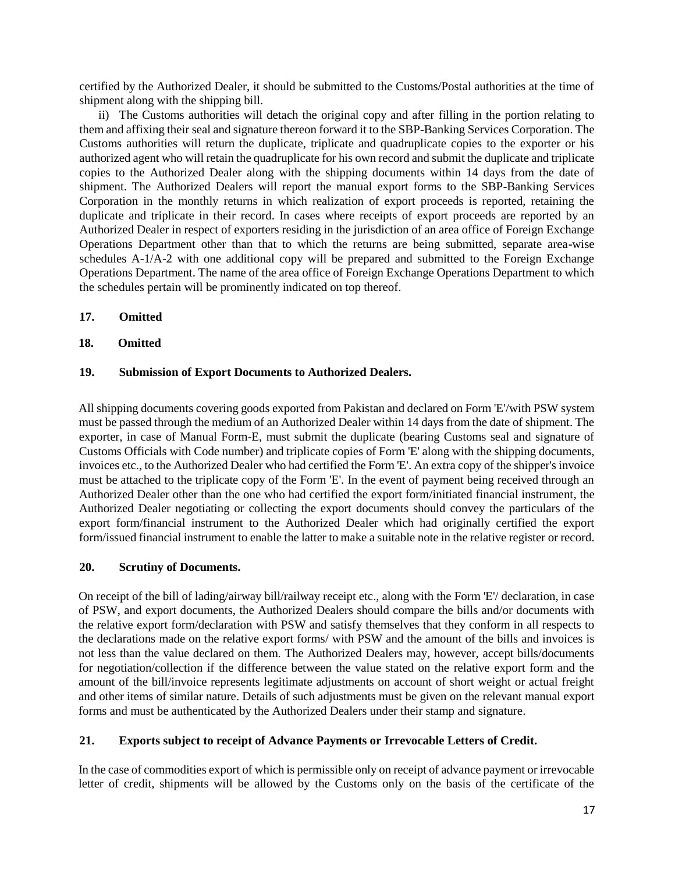certified by the Authorized Dealer, it should be submitted to the Customs/Postal authorities at the time of shipment along with the shipping bill.

ii) The Customs authorities will detach the original copy and after filling in the portion relating to them and affixing their seal and signature thereon forward it to the SBP-Banking Services Corporation. The Customs authorities will return the duplicate, triplicate and quadruplicate copies to the exporter or his authorized agent who will retain the quadruplicate for his own record and submit the duplicate and triplicate copies to the Authorized Dealer along with the shipping documents within 14 days from the date of shipment. The Authorized Dealers will report the manual export forms to the SBP-Banking Services Corporation in the monthly returns in which realization of export proceeds is reported, retaining the duplicate and triplicate in their record. In cases where receipts of export proceeds are reported by an Authorized Dealer in respect of exporters residing in the jurisdiction of an area office of Foreign Exchange Operations Department other than that to which the returns are being submitted, separate area-wise schedules [A-1/](http://www.sbp.org.pk/femanual/Updated%20FE%20Manual/appendix%20files/appendix%205/ap5-105.htm)[A-2](http://www.sbp.org.pk/femanual/Updated%20FE%20Manual/appendix%20files/appendix%205/ap5-106.htm) with one additional copy will be prepared and submitted to the Foreign Exchange Operations Department. The name of the area office of Foreign Exchange Operations Department to which the schedules pertain will be prominently indicated on top thereof.

- **17. Omitted**
- **18. Omitted**

### **19. Submission of Export Documents to Authorized Dealers.**

All shipping documents covering goods exported from Pakistan and declared on Form 'E'/with PSW system must be passed through the medium of an Authorized Dealer within 14 days from the date of shipment. The exporter, in case of Manual Form-E, must submit the duplicate (bearing Customs seal and signature of Customs Officials with Code number) and triplicate copies of Form 'E' along with the shipping documents, invoices etc., to the Authorized Dealer who had certified the Form 'E'. An extra copy of the shipper's invoice must be attached to the triplicate copy of the Form 'E'. In the event of payment being received through an Authorized Dealer other than the one who had certified the export form/initiated financial instrument, the Authorized Dealer negotiating or collecting the export documents should convey the particulars of the export form/financial instrument to the Authorized Dealer which had originally certified the export form/issued financial instrument to enable the latter to make a suitable note in the relative register or record.

#### **20. Scrutiny of Documents.**

On receipt of the bill of lading/airway bill/railway receipt etc., along with the Form 'E'/ declaration, in case of PSW, and export documents, the Authorized Dealers should compare the bills and/or documents with the relative export form/declaration with PSW and satisfy themselves that they conform in all respects to the declarations made on the relative export forms/ with PSW and the amount of the bills and invoices is not less than the value declared on them. The Authorized Dealers may, however, accept bills/documents for negotiation/collection if the difference between the value stated on the relative export form and the amount of the bill/invoice represents legitimate adjustments on account of short weight or actual freight and other items of similar nature. Details of such adjustments must be given on the relevant manual export forms and must be authenticated by the Authorized Dealers under their stamp and signature.

#### **21. Exports subject to receipt of Advance Payments or Irrevocable Letters of Credit.**

In the case of commodities export of which is permissible only on receipt of advance payment or irrevocable letter of credit, shipments will be allowed by the Customs only on the basis of the certificate of the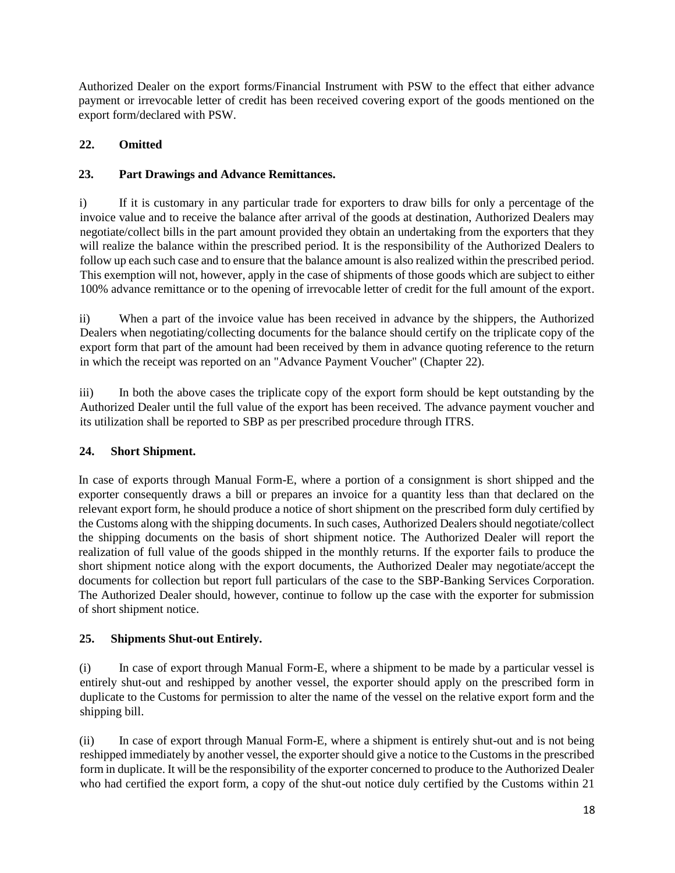Authorized Dealer on the export forms/Financial Instrument with PSW to the effect that either advance payment or irrevocable letter of credit has been received covering export of the goods mentioned on the export form/declared with PSW.

## **22. Omitted**

# **23. Part Drawings and Advance Remittances.**

i) If it is customary in any particular trade for exporters to draw bills for only a percentage of the invoice value and to receive the balance after arrival of the goods at destination, Authorized Dealers may negotiate/collect bills in the part amount provided they obtain an undertaking from the exporters that they will realize the balance within the prescribed period. It is the responsibility of the Authorized Dealers to follow up each such case and to ensure that the balance amount is also realized within the prescribed period. This exemption will not, however, apply in the case of shipments of those goods which are subject to either 100% advance remittance or to the opening of irrevocable letter of credit for the full amount of the export.

ii) When a part of the invoice value has been received in advance by the shippers, the Authorized Dealers when negotiating/collecting documents for the balance should certify on the triplicate copy of the export form that part of the amount had been received by them in advance quoting reference to the return in which the receipt was reported on an "Advance Payment Voucher" (Chapter 22).

iii) In both the above cases the triplicate copy of the export form should be kept outstanding by the Authorized Dealer until the full value of the export has been received. The advance payment voucher and its utilization shall be reported to SBP as per prescribed procedure through ITRS.

# **24. Short Shipment.**

In case of exports through Manual Form-E, where a portion of a consignment is short shipped and the exporter consequently draws a bill or prepares an invoice for a quantity less than that declared on the relevant export form, he should produce a notice of short shipment on the prescribed form duly certified by the Customs along with the shipping documents. In such cases, Authorized Dealers should negotiate/collect the shipping documents on the basis of short shipment notice. The Authorized Dealer will report the realization of full value of the goods shipped in the monthly returns. If the exporter fails to produce the short shipment notice along with the export documents, the Authorized Dealer may negotiate/accept the documents for collection but report full particulars of the case to the SBP-Banking Services Corporation. The Authorized Dealer should, however, continue to follow up the case with the exporter for submission of short shipment notice.

# **25. Shipments Shut-out Entirely.**

(i) In case of export through Manual Form-E, where a shipment to be made by a particular vessel is entirely shut-out and reshipped by another vessel, the exporter should apply on the prescribed form in duplicate to the Customs for permission to alter the name of the vessel on the relative export form and the shipping bill.

(ii) In case of export through Manual Form-E, where a shipment is entirely shut-out and is not being reshipped immediately by another vessel, the exporter should give a notice to the Customs in the prescribed form in duplicate. It will be the responsibility of the exporter concerned to produce to the Authorized Dealer who had certified the export form, a copy of the shut-out notice duly certified by the Customs within 21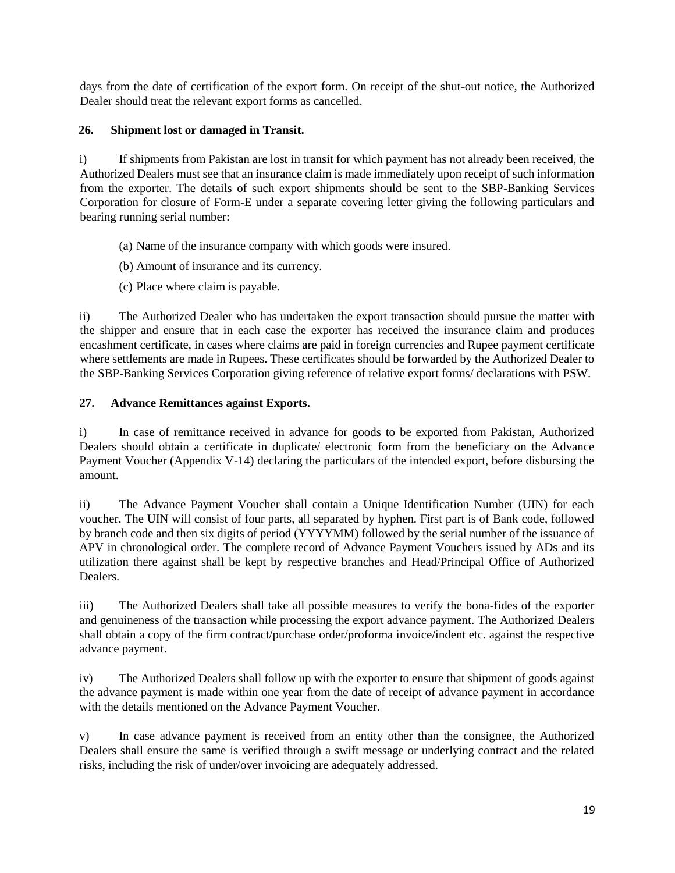days from the date of certification of the export form. On receipt of the shut-out notice, the Authorized Dealer should treat the relevant export forms as cancelled.

## **26. Shipment lost or damaged in Transit.**

i) If shipments from Pakistan are lost in transit for which payment has not already been received, the Authorized Dealers must see that an insurance claim is made immediately upon receipt of such information from the exporter. The details of such export shipments should be sent to the SBP-Banking Services Corporation for closure of Form-E under a separate covering letter giving the following particulars and bearing running serial number:

- (a) Name of the insurance company with which goods were insured.
- (b) Amount of insurance and its currency.
- (c) Place where claim is payable.

ii) The Authorized Dealer who has undertaken the export transaction should pursue the matter with the shipper and ensure that in each case the exporter has received the insurance claim and produces encashment certificate, in cases where claims are paid in foreign currencies and Rupee payment certificate where settlements are made in Rupees. These certificates should be forwarded by the Authorized Dealer to the SBP-Banking Services Corporation giving reference of relative export forms/ declarations with PSW.

# **27. Advance Remittances against Exports.**

i) In case of remittance received in advance for goods to be exported from Pakistan, Authorized Dealers should obtain a certificate in duplicate/ electronic form from the beneficiary on the Advance Payment Voucher (Appendix V-14) declaring the particulars of the intended export, before disbursing the amount.

ii) The Advance Payment Voucher shall contain a Unique Identification Number (UIN) for each voucher. The UIN will consist of four parts, all separated by hyphen. First part is of Bank code, followed by branch code and then six digits of period (YYYYMM) followed by the serial number of the issuance of APV in chronological order. The complete record of Advance Payment Vouchers issued by ADs and its utilization there against shall be kept by respective branches and Head/Principal Office of Authorized Dealers.

iii) The Authorized Dealers shall take all possible measures to verify the bona-fides of the exporter and genuineness of the transaction while processing the export advance payment. The Authorized Dealers shall obtain a copy of the firm contract/purchase order/proforma invoice/indent etc. against the respective advance payment.

iv) The Authorized Dealers shall follow up with the exporter to ensure that shipment of goods against the advance payment is made within one year from the date of receipt of advance payment in accordance with the details mentioned on the Advance Payment Voucher.

v) In case advance payment is received from an entity other than the consignee, the Authorized Dealers shall ensure the same is verified through a swift message or underlying contract and the related risks, including the risk of under/over invoicing are adequately addressed.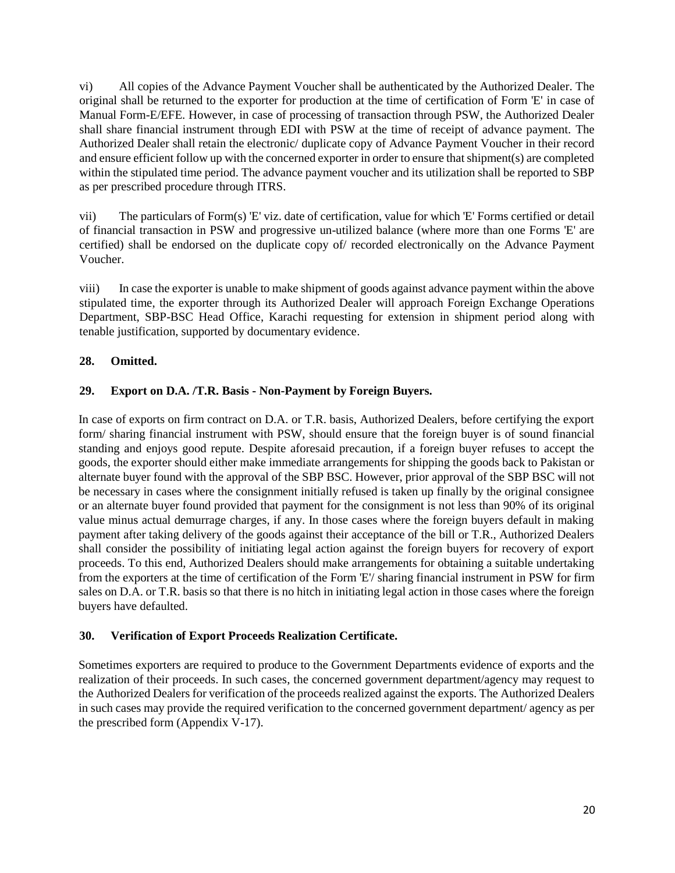vi) All copies of the Advance Payment Voucher shall be authenticated by the Authorized Dealer. The original shall be returned to the exporter for production at the time of certification of Form 'E' in case of Manual Form-E/EFE. However, in case of processing of transaction through PSW, the Authorized Dealer shall share financial instrument through EDI with PSW at the time of receipt of advance payment. The Authorized Dealer shall retain the electronic/ duplicate copy of Advance Payment Voucher in their record and ensure efficient follow up with the concerned exporter in order to ensure that shipment(s) are completed within the stipulated time period. The advance payment voucher and its utilization shall be reported to SBP as per prescribed procedure through ITRS.

vii) The particulars of Form(s) 'E' viz. date of certification, value for which 'E' Forms certified or detail of financial transaction in PSW and progressive un-utilized balance (where more than one Forms 'E' are certified) shall be endorsed on the duplicate copy of/ recorded electronically on the Advance Payment Voucher.

viii) In case the exporter is unable to make shipment of goods against advance payment within the above stipulated time, the exporter through its Authorized Dealer will approach Foreign Exchange Operations Department, SBP-BSC Head Office, Karachi requesting for extension in shipment period along with tenable justification, supported by documentary evidence.

## **28. Omitted.**

## **29. Export on D.A. /T.R. Basis - Non-Payment by Foreign Buyers.**

In case of exports on firm contract on D.A. or T.R. basis, Authorized Dealers, before certifying the export form/ sharing financial instrument with PSW, should ensure that the foreign buyer is of sound financial standing and enjoys good repute. Despite aforesaid precaution, if a foreign buyer refuses to accept the goods, the exporter should either make immediate arrangements for shipping the goods back to Pakistan or alternate buyer found with the approval of the SBP BSC. However, prior approval of the SBP BSC will not be necessary in cases where the consignment initially refused is taken up finally by the original consignee or an alternate buyer found provided that payment for the consignment is not less than 90% of its original value minus actual demurrage charges, if any. In those cases where the foreign buyers default in making payment after taking delivery of the goods against their acceptance of the bill or T.R., Authorized Dealers shall consider the possibility of initiating legal action against the foreign buyers for recovery of export proceeds. To this end, Authorized Dealers should make arrangements for obtaining a suitable undertaking from the exporters at the time of certification of the Form 'E'/ sharing financial instrument in PSW for firm sales on D.A. or T.R. basis so that there is no hitch in initiating legal action in those cases where the foreign buyers have defaulted.

## **30. Verification of Export Proceeds Realization Certificate.**

Sometimes exporters are required to produce to the Government Departments evidence of exports and the realization of their proceeds. In such cases, the concerned government department/agency may request to the Authorized Dealers for verification of the proceeds realized against the exports. The Authorized Dealers in such cases may provide the required verification to the concerned government department/ agency as per the prescribed form (Appendix V-17).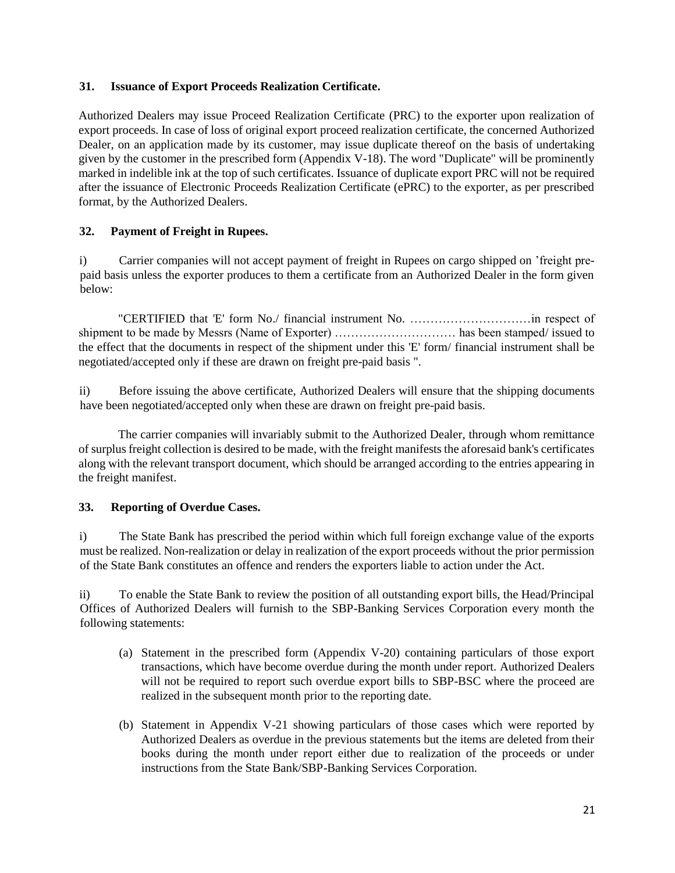### **31. Issuance of Export Proceeds Realization Certificate.**

Authorized Dealers may issue Proceed Realization Certificate (PRC) to the exporter upon realization of export proceeds. In case of loss of original export proceed realization certificate, the concerned Authorized Dealer, on an application made by its customer, may issue duplicate thereof on the basis of undertaking given by the customer in the prescribed form (Appendix V-18). The word "Duplicate" will be prominently marked in indelible ink at the top of such certificates. Issuance of duplicate export PRC will not be required after the issuance of Electronic Proceeds Realization Certificate (ePRC) to the exporter, as per prescribed format, by the Authorized Dealers.

## **32. Payment of Freight in Rupees.**

i) Carrier companies will not accept payment of freight in Rupees on cargo shipped on 'freight prepaid basis unless the exporter produces to them a certificate from an Authorized Dealer in the form given below:

"CERTIFIED that 'E' form No./ financial instrument No. …………………………in respect of shipment to be made by Messrs (Name of Exporter) ………………………… has been stamped/ issued to the effect that the documents in respect of the shipment under this 'E' form/ financial instrument shall be negotiated/accepted only if these are drawn on freight pre-paid basis ".

ii) Before issuing the above certificate, Authorized Dealers will ensure that the shipping documents have been negotiated/accepted only when these are drawn on freight pre-paid basis.

The carrier companies will invariably submit to the Authorized Dealer, through whom remittance of surplus freight collection is desired to be made, with the freight manifests the aforesaid bank's certificates along with the relevant transport document, which should be arranged according to the entries appearing in the freight manifest.

## **33. Reporting of Overdue Cases.**

i) The State Bank has prescribed the period within which full foreign exchange value of the exports must be realized. Non-realization or delay in realization of the export proceeds without the prior permission of the State Bank constitutes an offence and renders the exporters liable to action under the Act.

ii) To enable the State Bank to review the position of all outstanding export bills, the Head/Principal Offices of Authorized Dealers will furnish to the SBP-Banking Services Corporation every month the following statements:

- (a) Statement in the prescribed form (Appendix V-20) containing particulars of those export transactions, which have become overdue during the month under report. Authorized Dealers will not be required to report such overdue export bills to SBP-BSC where the proceed are realized in the subsequent month prior to the reporting date.
- (b) Statement in Appendix V-21 showing particulars of those cases which were reported by Authorized Dealers as overdue in the previous statements but the items are deleted from their books during the month under report either due to realization of the proceeds or under instructions from the State Bank/SBP-Banking Services Corporation.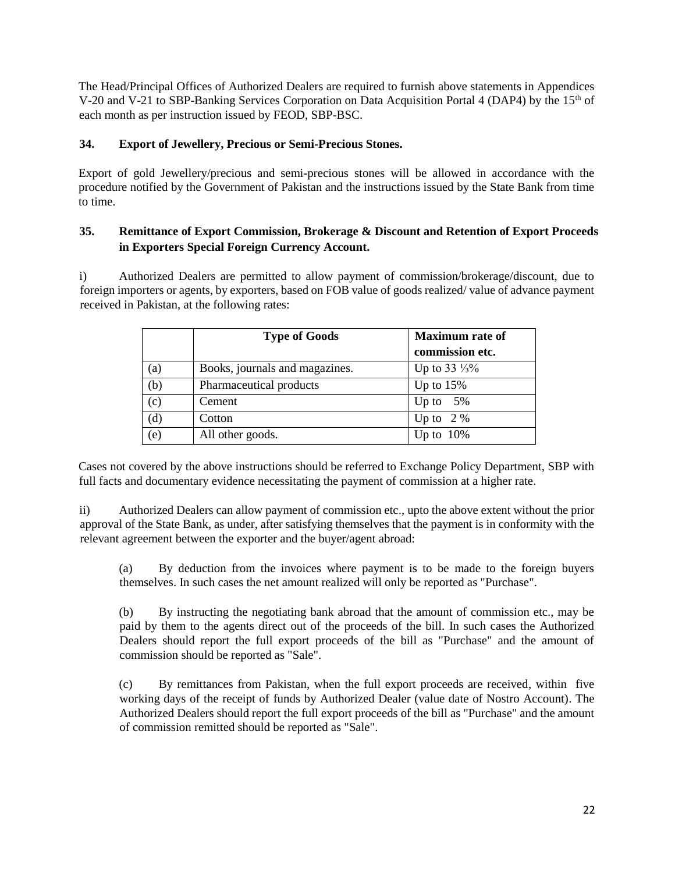The Head/Principal Offices of Authorized Dealers are required to furnish above statements in Appendices V-20 and V-21 to SBP-Banking Services Corporation on Data Acquisition Portal 4 (DAP4) by the 15<sup>th</sup> of each month as per instruction issued by FEOD, SBP-BSC.

## **34. Export of Jewellery, Precious or Semi-Precious Stones.**

Export of gold Jewellery/precious and semi-precious stones will be allowed in accordance with the procedure notified by the Government of Pakistan and the instructions issued by the State Bank from time to time.

## **35. Remittance of Export Commission, Brokerage & Discount and Retention of Export Proceeds in Exporters Special Foreign Currency Account.**

i) Authorized Dealers are permitted to allow payment of commission/brokerage/discount, due to foreign importers or agents, by exporters, based on FOB value of goods realized/ value of advance payment received in Pakistan, at the following rates:

|     | <b>Type of Goods</b>           | <b>Maximum</b> rate of<br>commission etc. |
|-----|--------------------------------|-------------------------------------------|
| (a) | Books, journals and magazines. | Up to $33\frac{1}{3}\%$                   |
| (b) | Pharmaceutical products        | Up to $15%$                               |
| (c) | Cement                         | Up to $5\%$                               |
| (d) | Cotton                         | Up to $2\%$                               |
| (e) | All other goods.               | Up to $10\%$                              |

Cases not covered by the above instructions should be referred to Exchange Policy Department, SBP with full facts and documentary evidence necessitating the payment of commission at a higher rate.

ii) Authorized Dealers can allow payment of commission etc., upto the above extent without the prior approval of the State Bank, as under, after satisfying themselves that the payment is in conformity with the relevant agreement between the exporter and the buyer/agent abroad:

(a) By deduction from the invoices where payment is to be made to the foreign buyers themselves. In such cases the net amount realized will only be reported as "Purchase".

(b) By instructing the negotiating bank abroad that the amount of commission etc., may be paid by them to the agents direct out of the proceeds of the bill. In such cases the Authorized Dealers should report the full export proceeds of the bill as "Purchase" and the amount of commission should be reported as "Sale".

(c) By remittances from Pakistan, when the full export proceeds are received, within five working days of the receipt of funds by Authorized Dealer (value date of Nostro Account). The Authorized Dealers should report the full export proceeds of the bill as "Purchase" and the amount of commission remitted should be reported as "Sale".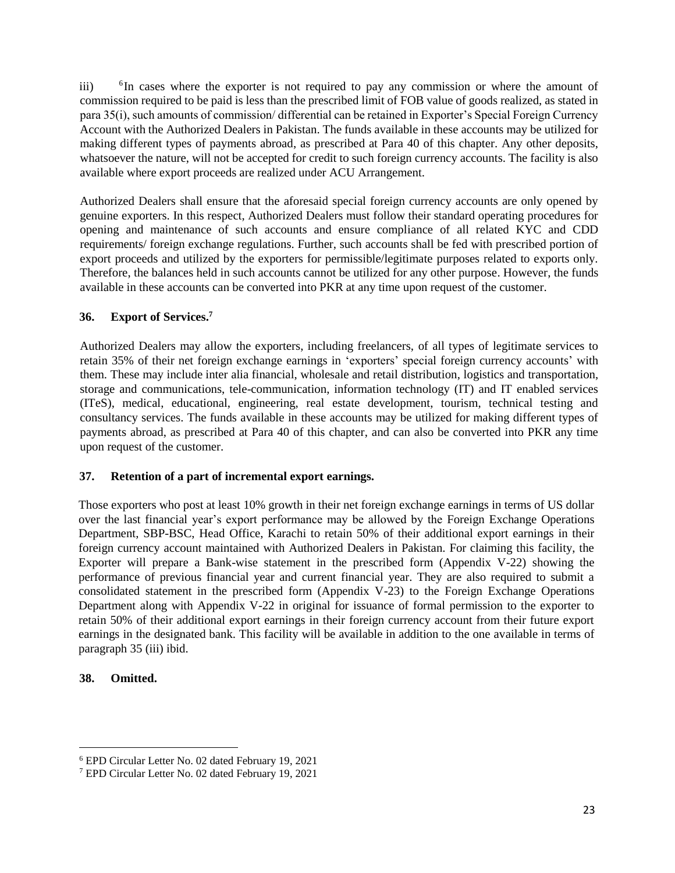$iii)$  ${}^{6}$ In cases where the exporter is not required to pay any commission or where the amount of commission required to be paid is less than the prescribed limit of FOB value of goods realized, as stated in para 35(i), such amounts of commission/ differential can be retained in Exporter's Special Foreign Currency Account with the Authorized Dealers in Pakistan. The funds available in these accounts may be utilized for making different types of payments abroad, as prescribed at Para 40 of this chapter. Any other deposits, whatsoever the nature, will not be accepted for credit to such foreign currency accounts. The facility is also available where export proceeds are realized under ACU Arrangement.

Authorized Dealers shall ensure that the aforesaid special foreign currency accounts are only opened by genuine exporters. In this respect, Authorized Dealers must follow their standard operating procedures for opening and maintenance of such accounts and ensure compliance of all related KYC and CDD requirements/ foreign exchange regulations. Further, such accounts shall be fed with prescribed portion of export proceeds and utilized by the exporters for permissible/legitimate purposes related to exports only. Therefore, the balances held in such accounts cannot be utilized for any other purpose. However, the funds available in these accounts can be converted into PKR at any time upon request of the customer.

## **36. Export of Services.<sup>7</sup>**

Authorized Dealers may allow the exporters, including freelancers, of all types of legitimate services to retain 35% of their net foreign exchange earnings in 'exporters' special foreign currency accounts' with them. These may include inter alia financial, wholesale and retail distribution, logistics and transportation, storage and communications, tele-communication, information technology (IT) and IT enabled services (ITeS), medical, educational, engineering, real estate development, tourism, technical testing and consultancy services. The funds available in these accounts may be utilized for making different types of payments abroad, as prescribed at Para 40 of this chapter, and can also be converted into PKR any time upon request of the customer.

#### **37. Retention of a part of incremental export earnings.**

Those exporters who post at least 10% growth in their net foreign exchange earnings in terms of US dollar over the last financial year's export performance may be allowed by the Foreign Exchange Operations Department, SBP-BSC, Head Office, Karachi to retain 50% of their additional export earnings in their foreign currency account maintained with Authorized Dealers in Pakistan. For claiming this facility, the Exporter will prepare a Bank-wise statement in the prescribed form (Appendix V-22) showing the performance of previous financial year and current financial year. They are also required to submit a consolidated statement in the prescribed form (Appendix V-23) to the Foreign Exchange Operations Department along with Appendix V-22 in original for issuance of formal permission to the exporter to retain 50% of their additional export earnings in their foreign currency account from their future export earnings in the designated bank. This facility will be available in addition to the one available in terms of paragraph 35 (iii) ibid.

#### **38. Omitted.**

<sup>6</sup> EPD Circular Letter No. 02 dated February 19, 2021

<sup>7</sup> EPD Circular Letter No. 02 dated February 19, 2021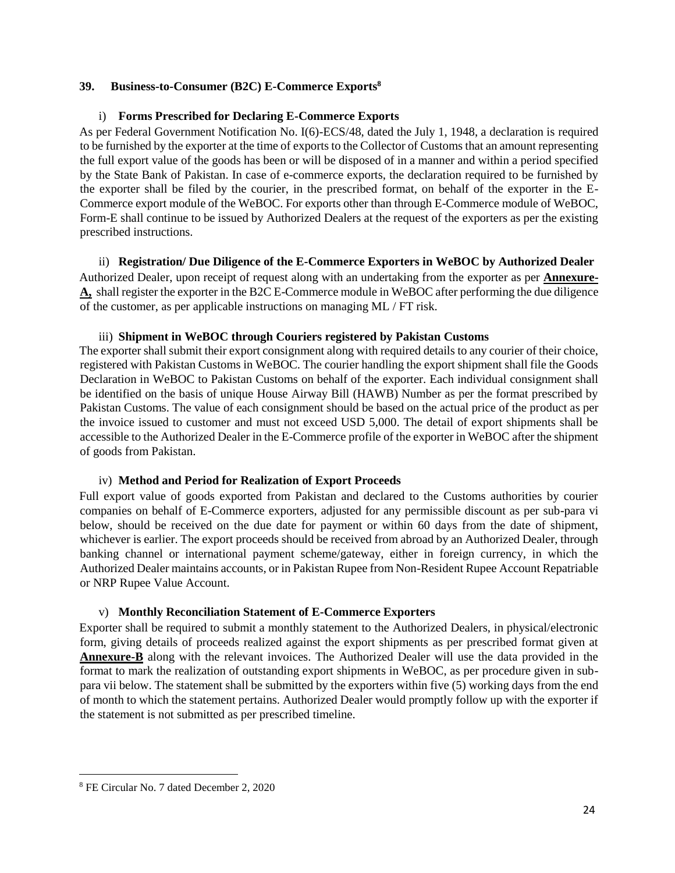#### **39. Business-to-Consumer (B2C) E-Commerce Exports<sup>8</sup>**

### i) **Forms Prescribed for Declaring E-Commerce Exports**

As per Federal Government Notification No. I(6)-ECS/48, dated the July 1, 1948, a declaration is required to be furnished by the exporter at the time of exports to the Collector of Customs that an amount representing the full export value of the goods has been or will be disposed of in a manner and within a period specified by the State Bank of Pakistan. In case of e-commerce exports, the declaration required to be furnished by the exporter shall be filed by the courier, in the prescribed format, on behalf of the exporter in the E-Commerce export module of the WeBOC. For exports other than through E-Commerce module of WeBOC, Form-E shall continue to be issued by Authorized Dealers at the request of the exporters as per the existing prescribed instructions.

ii) **Registration/ Due Diligence of the E-Commerce Exporters in WeBOC by Authorized Dealer** Authorized Dealer, upon receipt of request along with an undertaking from the exporter as per **[Annexure-](https://www.sbp.org.pk/epd/2020/FEC7-Annex-A.pdf)[A,](https://www.sbp.org.pk/epd/2020/FEC7-Annex-A.pdf)** shall register the exporter in the B2C E-Commerce module in WeBOC after performing the due diligence of the customer, as per applicable instructions on managing ML / FT risk.

### iii) **Shipment in WeBOC through Couriers registered by Pakistan Customs**

The exporter shall submit their export consignment along with required details to any courier of their choice, registered with Pakistan Customs in WeBOC. The courier handling the export shipment shall file the Goods Declaration in WeBOC to Pakistan Customs on behalf of the exporter. Each individual consignment shall be identified on the basis of unique House Airway Bill (HAWB) Number as per the format prescribed by Pakistan Customs. The value of each consignment should be based on the actual price of the product as per the invoice issued to customer and must not exceed USD 5,000. The detail of export shipments shall be accessible to the Authorized Dealer in the E-Commerce profile of the exporter in WeBOC after the shipment of goods from Pakistan.

#### iv) **Method and Period for Realization of Export Proceeds**

Full export value of goods exported from Pakistan and declared to the Customs authorities by courier companies on behalf of E-Commerce exporters, adjusted for any permissible discount as per sub-para vi below, should be received on the due date for payment or within 60 days from the date of shipment, whichever is earlier. The export proceeds should be received from abroad by an Authorized Dealer, through banking channel or international payment scheme/gateway, either in foreign currency, in which the Authorized Dealer maintains accounts, or in Pakistan Rupee from Non-Resident Rupee Account Repatriable or NRP Rupee Value Account.

## v) **Monthly Reconciliation Statement of E-Commerce Exporters**

Exporter shall be required to submit a monthly statement to the Authorized Dealers, in physical/electronic form, giving details of proceeds realized against the export shipments as per prescribed format given at **[Annexure-B](https://www.sbp.org.pk/epd/2020/FEC7-Annex-B.pdf)** along with the relevant invoices. The Authorized Dealer will use the data provided in the format to mark the realization of outstanding export shipments in WeBOC, as per procedure given in subpara vii below. The statement shall be submitted by the exporters within five (5) working days from the end of month to which the statement pertains. Authorized Dealer would promptly follow up with the exporter if the statement is not submitted as per prescribed timeline.

<sup>8</sup> FE Circular No. 7 dated December 2, 2020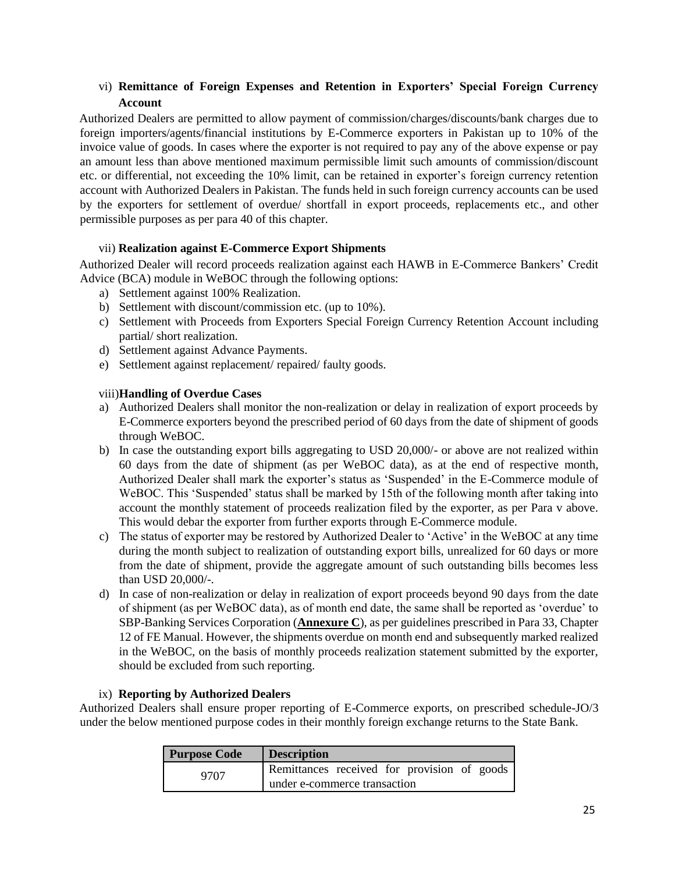## vi) **Remittance of Foreign Expenses and Retention in Exporters' Special Foreign Currency Account**

Authorized Dealers are permitted to allow payment of commission/charges/discounts/bank charges due to foreign importers/agents/financial institutions by E-Commerce exporters in Pakistan up to 10% of the invoice value of goods. In cases where the exporter is not required to pay any of the above expense or pay an amount less than above mentioned maximum permissible limit such amounts of commission/discount etc. or differential, not exceeding the 10% limit, can be retained in exporter's foreign currency retention account with Authorized Dealers in Pakistan. The funds held in such foreign currency accounts can be used by the exporters for settlement of overdue/ shortfall in export proceeds, replacements etc., and other permissible purposes as per para 40 of this chapter.

## vii) **Realization against E-Commerce Export Shipments**

Authorized Dealer will record proceeds realization against each HAWB in E-Commerce Bankers' Credit Advice (BCA) module in WeBOC through the following options:

- a) Settlement against 100% Realization.
- b) Settlement with discount/commission etc. (up to 10%).
- c) Settlement with Proceeds from Exporters Special Foreign Currency Retention Account including partial/ short realization.
- d) Settlement against Advance Payments.
- e) Settlement against replacement/ repaired/ faulty goods.

#### viii)**Handling of Overdue Cases**

- a) Authorized Dealers shall monitor the non-realization or delay in realization of export proceeds by E-Commerce exporters beyond the prescribed period of 60 days from the date of shipment of goods through WeBOC.
- b) In case the outstanding export bills aggregating to USD 20,000/- or above are not realized within 60 days from the date of shipment (as per WeBOC data), as at the end of respective month, Authorized Dealer shall mark the exporter's status as 'Suspended' in the E-Commerce module of WeBOC. This 'Suspended' status shall be marked by 15th of the following month after taking into account the monthly statement of proceeds realization filed by the exporter, as per Para v above. This would debar the exporter from further exports through E-Commerce module.
- c) The status of exporter may be restored by Authorized Dealer to 'Active' in the WeBOC at any time during the month subject to realization of outstanding export bills, unrealized for 60 days or more from the date of shipment, provide the aggregate amount of such outstanding bills becomes less than USD 20,000/-.
- d) In case of non-realization or delay in realization of export proceeds beyond 90 days from the date of shipment (as per WeBOC data), as of month end date, the same shall be reported as 'overdue' to SBP-Banking Services Corporation (**[Annexure C](https://www.sbp.org.pk/epd/2020/FEC7-Annex-C.pdf)**), as per guidelines prescribed in Para 33, Chapter 12 of FE Manual. However, the shipments overdue on month end and subsequently marked realized in the WeBOC, on the basis of monthly proceeds realization statement submitted by the exporter, should be excluded from such reporting.

#### ix) **Reporting by Authorized Dealers**

Authorized Dealers shall ensure proper reporting of E-Commerce exports, on prescribed schedule-JO/3 under the below mentioned purpose codes in their monthly foreign exchange returns to the State Bank.

| <b>Purpose Code</b> | <b>Description</b>                          |  |  |  |
|---------------------|---------------------------------------------|--|--|--|
| 9707                | Remittances received for provision of goods |  |  |  |
|                     | under e-commerce transaction                |  |  |  |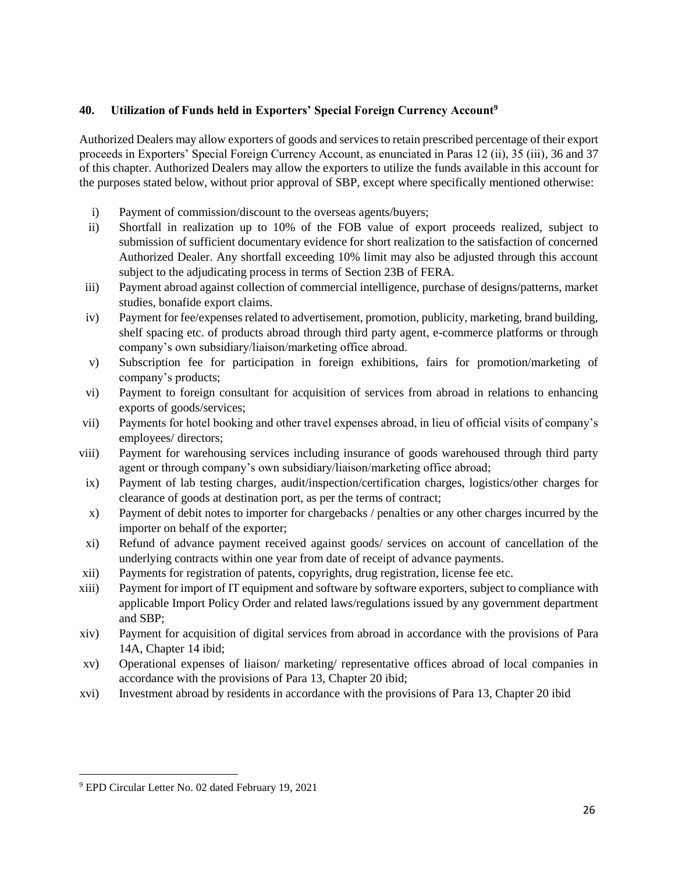## **40. Utilization of Funds held in Exporters' Special Foreign Currency Account<sup>9</sup>**

Authorized Dealers may allow exporters of goods and services to retain prescribed percentage of their export proceeds in Exporters' Special Foreign Currency Account, as enunciated in Paras 12 (ii), 35 (iii), 36 and 37 of this chapter. Authorized Dealers may allow the exporters to utilize the funds available in this account for the purposes stated below, without prior approval of SBP, except where specifically mentioned otherwise:

- i) Payment of commission/discount to the overseas agents/buyers;
- ii) Shortfall in realization up to 10% of the FOB value of export proceeds realized, subject to submission of sufficient documentary evidence for short realization to the satisfaction of concerned Authorized Dealer. Any shortfall exceeding 10% limit may also be adjusted through this account subject to the adjudicating process in terms of Section 23B of FERA.
- iii) Payment abroad against collection of commercial intelligence, purchase of designs/patterns, market studies, bonafide export claims.
- iv) Payment for fee/expenses related to advertisement, promotion, publicity, marketing, brand building, shelf spacing etc. of products abroad through third party agent, e-commerce platforms or through company's own subsidiary/liaison/marketing office abroad.
- v) Subscription fee for participation in foreign exhibitions, fairs for promotion/marketing of company's products;
- vi) Payment to foreign consultant for acquisition of services from abroad in relations to enhancing exports of goods/services;
- vii) Payments for hotel booking and other travel expenses abroad, in lieu of official visits of company's employees/ directors;
- viii) Payment for warehousing services including insurance of goods warehoused through third party agent or through company's own subsidiary/liaison/marketing office abroad;
- ix) Payment of lab testing charges, audit/inspection/certification charges, logistics/other charges for clearance of goods at destination port, as per the terms of contract;
- x) Payment of debit notes to importer for chargebacks / penalties or any other charges incurred by the importer on behalf of the exporter;
- xi) Refund of advance payment received against goods/ services on account of cancellation of the underlying contracts within one year from date of receipt of advance payments.
- xii) Payments for registration of patents, copyrights, drug registration, license fee etc.
- xiii) Payment for import of IT equipment and software by software exporters, subject to compliance with applicable Import Policy Order and related laws/regulations issued by any government department and SBP;
- xiv) Payment for acquisition of digital services from abroad in accordance with the provisions of Para 14A, Chapter 14 ibid;
- xv) Operational expenses of liaison/ marketing/ representative offices abroad of local companies in accordance with the provisions of Para 13, Chapter 20 ibid;
- xvi) Investment abroad by residents in accordance with the provisions of Para 13, Chapter 20 ibid

<sup>9</sup> EPD Circular Letter No. 02 dated February 19, 2021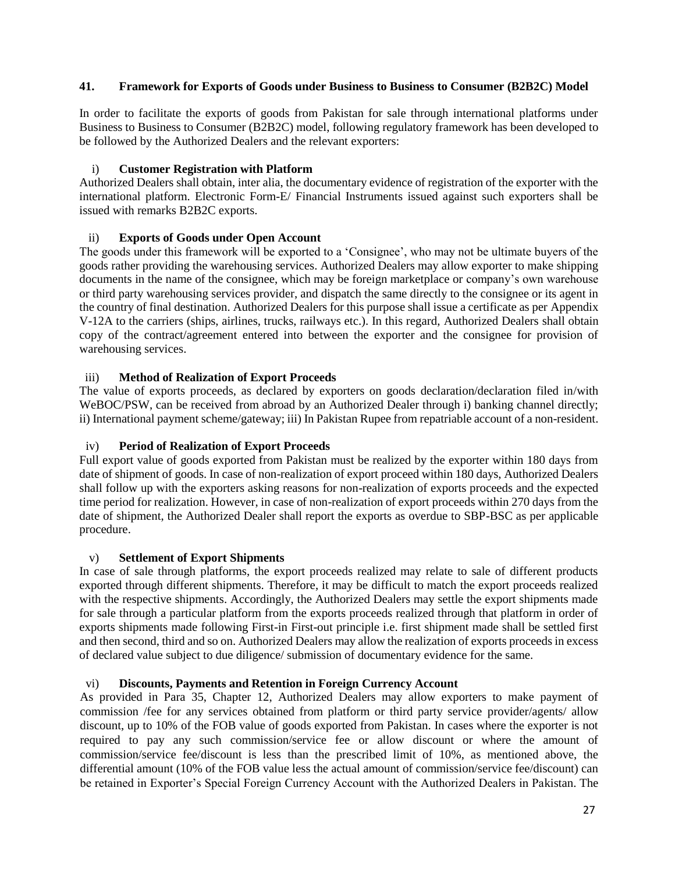#### **41. Framework for Exports of Goods under Business to Business to Consumer (B2B2C) Model**

In order to facilitate the exports of goods from Pakistan for sale through international platforms under Business to Business to Consumer (B2B2C) model, following regulatory framework has been developed to be followed by the Authorized Dealers and the relevant exporters:

### i) **Customer Registration with Platform**

Authorized Dealers shall obtain, inter alia, the documentary evidence of registration of the exporter with the international platform. Electronic Form-E/ Financial Instruments issued against such exporters shall be issued with remarks B2B2C exports.

### ii) **Exports of Goods under Open Account**

The goods under this framework will be exported to a 'Consignee', who may not be ultimate buyers of the goods rather providing the warehousing services. Authorized Dealers may allow exporter to make shipping documents in the name of the consignee, which may be foreign marketplace or company's own warehouse or third party warehousing services provider, and dispatch the same directly to the consignee or its agent in the country of final destination. Authorized Dealers for this purpose shall issue a certificate as per [Appendix](https://www.sbp.org.pk/epd/2020/Appendix-V-12A.pdf)  [V-12A](https://www.sbp.org.pk/epd/2020/Appendix-V-12A.pdf) to the carriers (ships, airlines, trucks, railways etc.). In this regard, Authorized Dealers shall obtain copy of the contract/agreement entered into between the exporter and the consignee for provision of warehousing services.

### iii) **Method of Realization of Export Proceeds**

The value of exports proceeds, as declared by exporters on goods declaration/declaration filed in/with WeBOC/PSW, can be received from abroad by an Authorized Dealer through i) banking channel directly; ii) International payment scheme/gateway; iii) In Pakistan Rupee from repatriable account of a non-resident.

## iv) **Period of Realization of Export Proceeds**

Full export value of goods exported from Pakistan must be realized by the exporter within 180 days from date of shipment of goods. In case of non-realization of export proceed within 180 days, Authorized Dealers shall follow up with the exporters asking reasons for non-realization of exports proceeds and the expected time period for realization. However, in case of non-realization of export proceeds within 270 days from the date of shipment, the Authorized Dealer shall report the exports as overdue to SBP-BSC as per applicable procedure.

#### v) **Settlement of Export Shipments**

In case of sale through platforms, the export proceeds realized may relate to sale of different products exported through different shipments. Therefore, it may be difficult to match the export proceeds realized with the respective shipments. Accordingly, the Authorized Dealers may settle the export shipments made for sale through a particular platform from the exports proceeds realized through that platform in order of exports shipments made following First-in First-out principle i.e. first shipment made shall be settled first and then second, third and so on. Authorized Dealers may allow the realization of exports proceeds in excess of declared value subject to due diligence/ submission of documentary evidence for the same.

#### vi) **Discounts, Payments and Retention in Foreign Currency Account**

As provided in Para 35, Chapter 12, Authorized Dealers may allow exporters to make payment of commission /fee for any services obtained from platform or third party service provider/agents/ allow discount, up to 10% of the FOB value of goods exported from Pakistan. In cases where the exporter is not required to pay any such commission/service fee or allow discount or where the amount of commission/service fee/discount is less than the prescribed limit of 10%, as mentioned above, the differential amount (10% of the FOB value less the actual amount of commission/service fee/discount) can be retained in Exporter's Special Foreign Currency Account with the Authorized Dealers in Pakistan. The